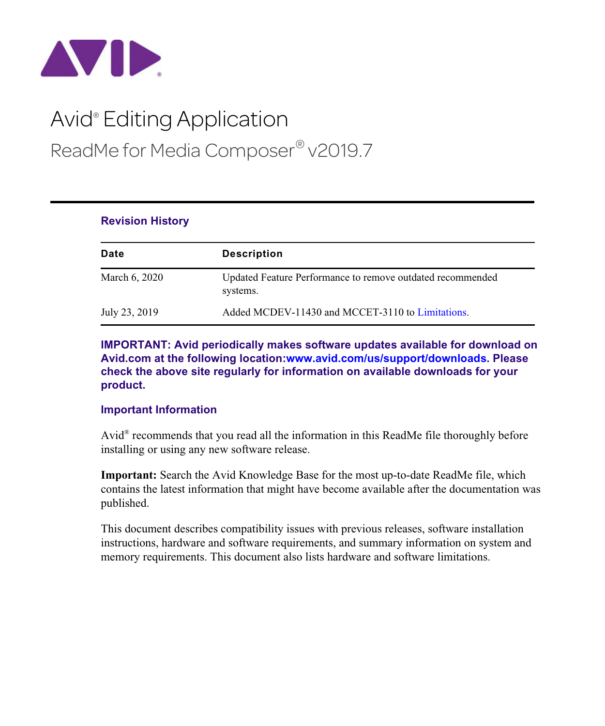

# Avid® Editing Application ReadMe for Media Composer® v2019.7

| Date          | <b>Description</b>                                                     |
|---------------|------------------------------------------------------------------------|
| March 6, 2020 | Updated Feature Performance to remove outdated recommended<br>systems. |
| July 23, 2019 | Added MCDEV-11430 and MCCET-3110 to Limitations.                       |

**IMPORTANT: Avid periodically makes software updates available for download on Avid.com at the following location[:www.avid.com/us/support/downloads](http://www.avid.com/support/downloads). Please check the above site regularly for information on available downloads for your product.**

### **Important Information**

**Revision History**

Avid® recommends that you read all the information in this ReadMe file thoroughly before installing or using any new software release.

**Important:** Search the Avid Knowledge Base for the most up-to-date ReadMe file, which contains the latest information that might have become available after the documentation was published.

This document describes compatibility issues with previous releases, software installation instructions, hardware and software requirements, and summary information on system and memory requirements. This document also lists hardware and software limitations.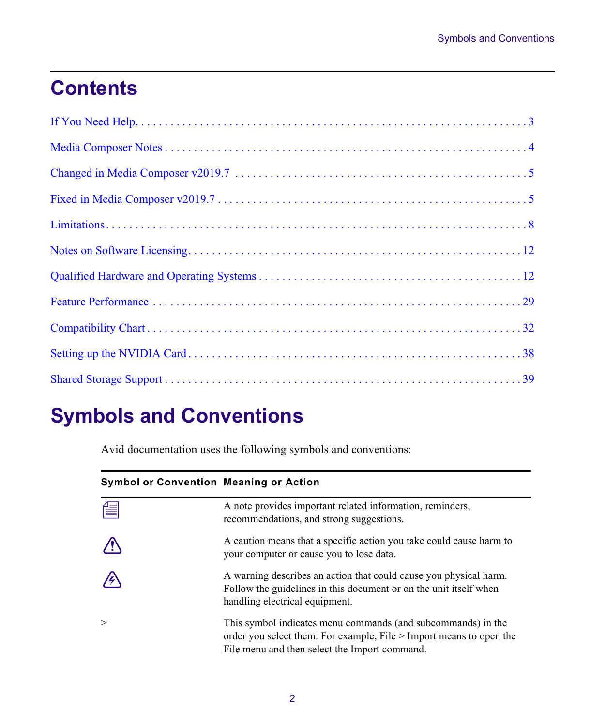# **Contents**

## **Symbols and Conventions**

Avid documentation uses the following symbols and conventions:

| <b>Symbol or Convention Meaning or Action</b> |                                                                                                                                                                                      |
|-----------------------------------------------|--------------------------------------------------------------------------------------------------------------------------------------------------------------------------------------|
| 僵                                             | A note provides important related information, reminders,<br>recommendations, and strong suggestions.                                                                                |
|                                               | A caution means that a specific action you take could cause harm to<br>your computer or cause you to lose data.                                                                      |
|                                               | A warning describes an action that could cause you physical harm.<br>Follow the guidelines in this document or on the unit itself when<br>handling electrical equipment.             |
| $\geq$                                        | This symbol indicates menu commands (and subcommands) in the<br>order you select them. For example, File > Import means to open the<br>File menu and then select the Import command. |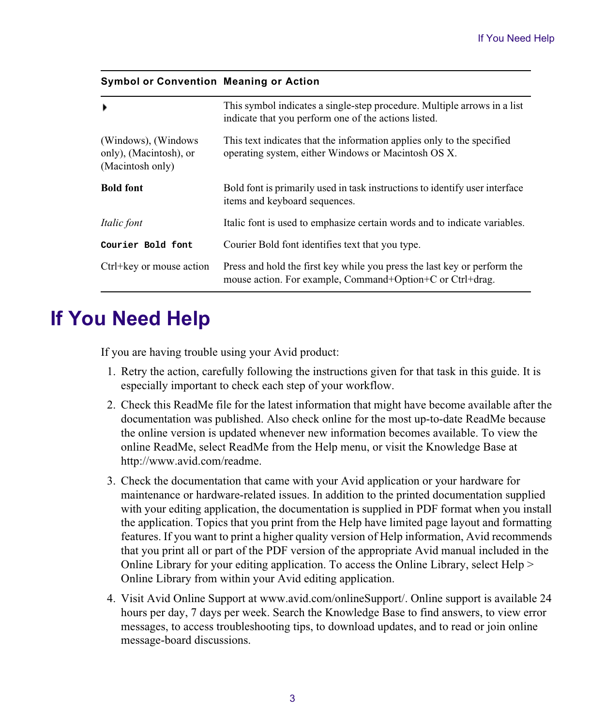#### **Symbol or Convention Meaning or Action**

| ٠                                                                  | This symbol indicates a single-step procedure. Multiple arrows in a list<br>indicate that you perform one of the actions listed.      |
|--------------------------------------------------------------------|---------------------------------------------------------------------------------------------------------------------------------------|
| (Windows), (Windows)<br>only), (Macintosh), or<br>(Macintosh only) | This text indicates that the information applies only to the specified<br>operating system, either Windows or Macintosh OS X.         |
| <b>Bold font</b>                                                   | Bold font is primarily used in task instructions to identify user interface<br>items and keyboard sequences.                          |
| Italic font                                                        | Italic font is used to emphasize certain words and to indicate variables.                                                             |
| Courier Bold font                                                  | Courier Bold font identifies text that you type.                                                                                      |
| Ctrl+key or mouse action                                           | Press and hold the first key while you press the last key or perform the<br>mouse action. For example, Command+Option+C or Ctrl+drag. |

## <span id="page-2-0"></span>**If You Need Help**

If you are having trouble using your Avid product:

- 1. Retry the action, carefully following the instructions given for that task in this guide. It is especially important to check each step of your workflow.
- [2. Check this ReadMe file for the latest information that might have become available after the](http://avid.force.com/pkb/articles/en_US/readme/Media-Composer-Software-8-0-Documentation)  documentation was published. Also check online for the most up-to-date ReadMe because the online version is updated whenever new information becomes available. To view the online ReadMe, select ReadMe from the Help menu, or visit the Knowledge Base at http://www.avid.com/readme.
- 3. Check the documentation that came with your Avid application or your hardware for maintenance or hardware-related issues. In addition to the printed documentation supplied with your editing application, the documentation is supplied in PDF format when you install the application. Topics that you print from the Help have limited page layout and formatting features. If you want to print a higher quality version of Help information, Avid recommends that you print all or part of the PDF version of the appropriate Avid manual included in the Online Library for your editing application. To access the Online Library, select Help > Online Library from within your Avid editing application.
- 4. [Visit Avid Online Support at www.avid.com/onlineSupport/. Online support is available 24](http://www.avid.com/onlinesupport)  [hours per day, 7 days per week. Search the Knowledge Base to find answers, to view error](http://www.avid.com/onlinesupport)  messages, to access troubleshooting tips, to download updates, and to read or join online [message-board discussions.](http://www.avid.com/onlinesupport)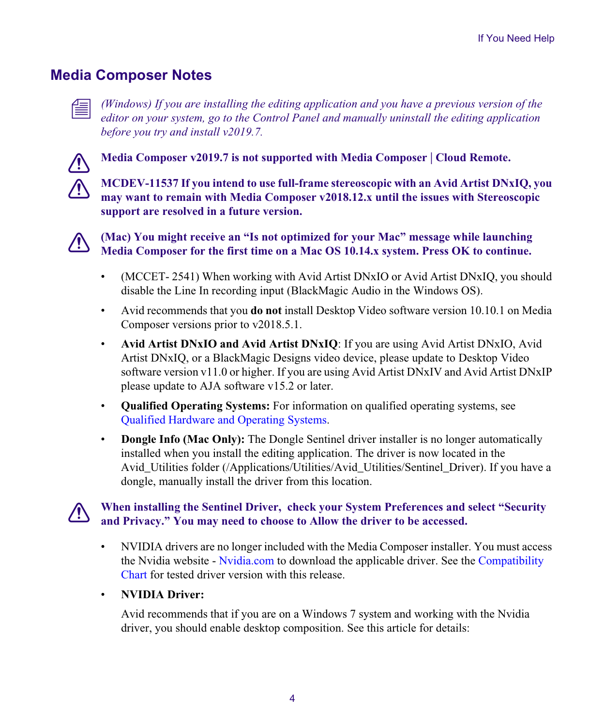## <span id="page-3-0"></span>**Media Composer Notes**



n *(Windows) If you are installing the editing application and you have a previous version of the editor on your system, go to the Control Panel and manually uninstall the editing application before you try and install v2019.7.*



c **Media Composer v2019.7 is not supported with Media Composer | Cloud Remote.**

c **MCDEV-11537 If you intend to use full-frame stereoscopic with an Avid Artist DNxIQ, you may want to remain with Media Composer v2018.12.x until the issues with Stereoscopic support are resolved in a future version.**



c **(Mac) You might receive an "Is not optimized for your Mac" message while launching Media Composer for the first time on a Mac OS 10.14.x system. Press OK to continue.**

- (MCCET- 2541) When working with Avid Artist DNxIO or Avid Artist DNxIQ, you should disable the Line In recording input (BlackMagic Audio in the Windows OS).
- Avid recommends that you **do not** install Desktop Video software version 10.10.1 on Media Composer versions prior to v2018.5.1.
- **Avid Artist DNxIO and Avid Artist DNxIQ**: If you are using Avid Artist DNxIO, Avid Artist DNxIQ, or a BlackMagic Designs video device, please update to Desktop Video software version v11.0 or higher. If you are using Avid Artist DNxIV and Avid Artist DNxIP please update to AJA software v15.2 or later.
- **Qualified Operating Systems:** For information on qualified operating systems, see [Qualified Hardware and Operating Systems.](#page-11-1)
- **Dongle Info (Mac Only):** The Dongle Sentinel driver installer is no longer automatically installed when you install the editing application. The driver is now located in the Avid\_Utilities folder (/Applications/Utilities/Avid\_Utilities/Sentinel\_Driver). If you have a dongle, manually install the driver from this location.

## c **When installing the Sentinel Driver, check your System Preferences and select "Security and Privacy." You may need to choose to Allow the driver to be accessed.**

• NVIDIA drivers are no longer included with the Media Composer installer. You must access the Nvidia website - [Nvidia.com](https://www.nvidia.com/Download/index.aspx?lang=en-us) to download the applicable driver. See the [Compatibility](#page-31-0)  [Chart](#page-31-0) for tested driver version with this release.

## • **NVIDIA Driver:**

Avid recommends that if you are on a Windows 7 system and working with the Nvidia driver, you should enable desktop composition. See this article for details: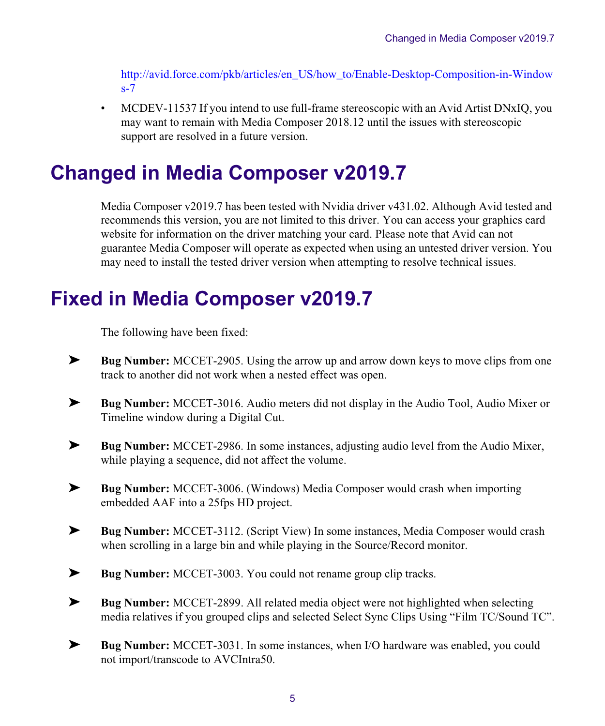[http://avid.force.com/pkb/articles/en\\_US/how\\_to/Enable-Desktop-Composition-in-Window](http://avid.force.com/pkb/articles/en_US/how_to/Enable-Desktop-Composition-in-Windows-7) [s-7](http://avid.force.com/pkb/articles/en_US/how_to/Enable-Desktop-Composition-in-Windows-7)

• MCDEV-11537 If you intend to use full-frame stereoscopic with an Avid Artist DNxIQ, you may want to remain with Media Composer 2018.12 until the issues with stereoscopic support are resolved in a future version.

## <span id="page-4-1"></span>**Changed in Media Composer v2019.7**

Media Composer v2019.7 has been tested with Nvidia driver v431.02. Although Avid tested and recommends this version, you are not limited to this driver. You can access your graphics card website for information on the driver matching your card. Please note that Avid can not guarantee Media Composer will operate as expected when using an untested driver version. You may need to install the tested driver version when attempting to resolve technical issues.

## <span id="page-4-0"></span>**Fixed in Media Composer v2019.7**

The following have been fixed:

- ➤ **Bug Number:** MCCET-2905. Using the arrow up and arrow down keys to move clips from one track to another did not work when a nested effect was open.
- ➤ **Bug Number:** MCCET-3016. Audio meters did not display in the Audio Tool, Audio Mixer or Timeline window during a Digital Cut.
- ➤ **Bug Number:** MCCET-2986. In some instances, adjusting audio level from the Audio Mixer, while playing a sequence, did not affect the volume.
- ➤ **Bug Number:** MCCET-3006. (Windows) Media Composer would crash when importing embedded AAF into a 25fps HD project.
- ➤ **Bug Number:** MCCET-3112. (Script View) In some instances, Media Composer would crash when scrolling in a large bin and while playing in the Source/Record monitor.
- ➤ **Bug Number:** MCCET-3003. You could not rename group clip tracks.
- ➤ **Bug Number:** MCCET-2899. All related media object were not highlighted when selecting media relatives if you grouped clips and selected Select Sync Clips Using "Film TC/Sound TC".
- ➤ **Bug Number:** MCCET-3031. In some instances, when I/O hardware was enabled, you could not import/transcode to AVCIntra50.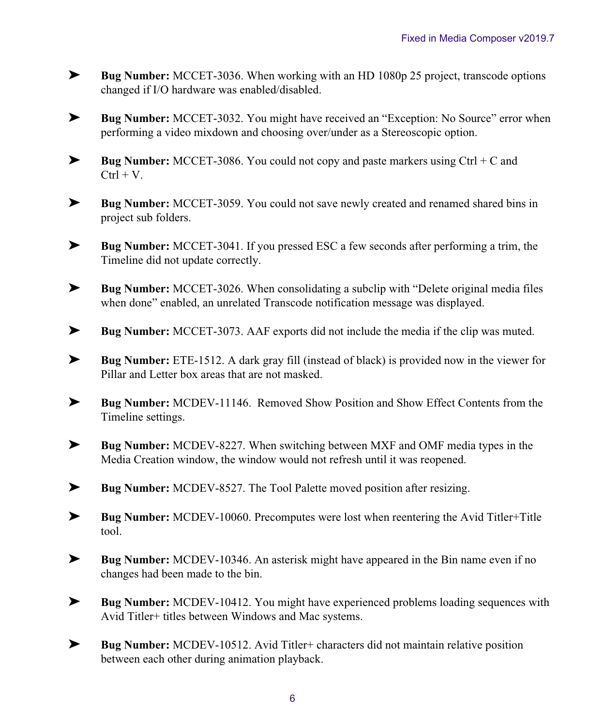- ➤ **Bug Number:** MCCET-3036. When working with an HD 1080p 25 project, transcode options changed if I/O hardware was enabled/disabled.
- ➤ **Bug Number:** MCCET-3032. You might have received an "Exception: No Source" error when performing a video mixdown and choosing over/under as a Stereoscopic option.
- ➤ **Bug Number:** MCCET-3086. You could not copy and paste markers using Ctrl + C and  $Ctrl + V.$
- ➤ **Bug Number:** MCCET-3059. You could not save newly created and renamed shared bins in project sub folders.
- ➤ **Bug Number:** MCCET-3041. If you pressed ESC a few seconds after performing a trim, the Timeline did not update correctly.
- ➤ **Bug Number:** MCCET-3026. When consolidating a subclip with "Delete original media files when done" enabled, an unrelated Transcode notification message was displayed.
- ➤ **Bug Number:** MCCET-3073. AAF exports did not include the media if the clip was muted.
- ➤ **Bug Number:** ETE-1512. A dark gray fill (instead of black) is provided now in the viewer for Pillar and Letter box areas that are not masked.
- ➤ **Bug Number:** MCDEV-11146. Removed Show Position and Show Effect Contents from the Timeline settings.
- ➤ **Bug Number:** MCDEV-8227. When switching between MXF and OMF media types in the Media Creation window, the window would not refresh until it was reopened.
- ➤ **Bug Number:** MCDEV-8527. The Tool Palette moved position after resizing.
- ➤ **Bug Number:** MCDEV-10060. Precomputes were lost when reentering the Avid Titler+Title tool.
- ➤ **Bug Number:** MCDEV-10346. An asterisk might have appeared in the Bin name even if no changes had been made to the bin.
- ➤ **Bug Number:** MCDEV-10412. You might have experienced problems loading sequences with Avid Titler+ titles between Windows and Mac systems.
- ➤ **Bug Number:** MCDEV-10512. Avid Titler+ characters did not maintain relative position between each other during animation playback.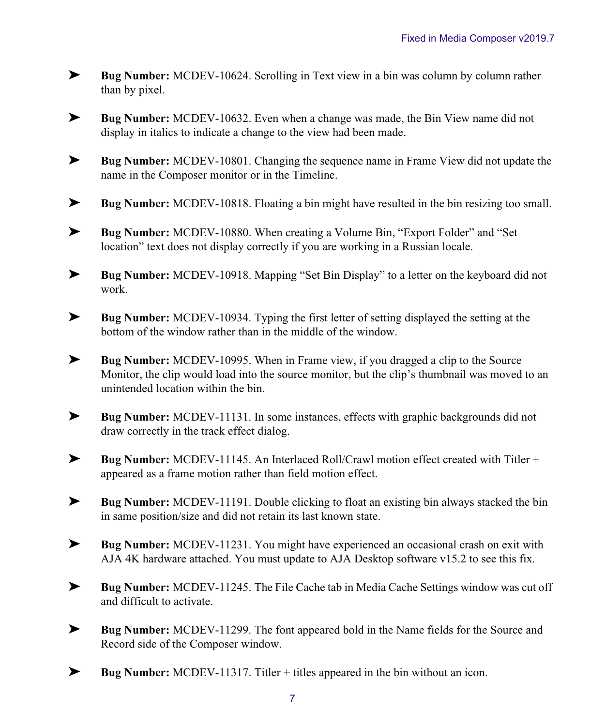- ➤ **Bug Number:** MCDEV-10624. Scrolling in Text view in a bin was column by column rather than by pixel.
- ➤ **Bug Number:** MCDEV-10632. Even when a change was made, the Bin View name did not display in italics to indicate a change to the view had been made.
- ➤ **Bug Number:** MCDEV-10801. Changing the sequence name in Frame View did not update the name in the Composer monitor or in the Timeline.
- ➤ **Bug Number:** MCDEV-10818. Floating a bin might have resulted in the bin resizing too small.
- ➤ **Bug Number:** MCDEV-10880. When creating a Volume Bin, "Export Folder" and "Set location" text does not display correctly if you are working in a Russian locale.
- ➤ **Bug Number:** MCDEV-10918. Mapping "Set Bin Display" to a letter on the keyboard did not work.
- ➤ **Bug Number:** MCDEV-10934. Typing the first letter of setting displayed the setting at the bottom of the window rather than in the middle of the window.
- ➤ **Bug Number:** MCDEV-10995. When in Frame view, if you dragged a clip to the Source Monitor, the clip would load into the source monitor, but the clip's thumbnail was moved to an unintended location within the bin.
- ➤ **Bug Number:** MCDEV-11131. In some instances, effects with graphic backgrounds did not draw correctly in the track effect dialog.
- ➤ **Bug Number:** MCDEV-11145. An Interlaced Roll/Crawl motion effect created with Titler + appeared as a frame motion rather than field motion effect.
- ➤ **Bug Number:** MCDEV-11191. Double clicking to float an existing bin always stacked the bin in same position/size and did not retain its last known state.
- ➤ **Bug Number:** MCDEV-11231. You might have experienced an occasional crash on exit with AJA 4K hardware attached. You must update to AJA Desktop software v15.2 to see this fix.
- ➤ **Bug Number:** MCDEV-11245. The File Cache tab in Media Cache Settings window was cut off and difficult to activate.
- ➤ **Bug Number:** MCDEV-11299. The font appeared bold in the Name fields for the Source and Record side of the Composer window.
- ➤ **Bug Number:** MCDEV-11317. Titler + titles appeared in the bin without an icon.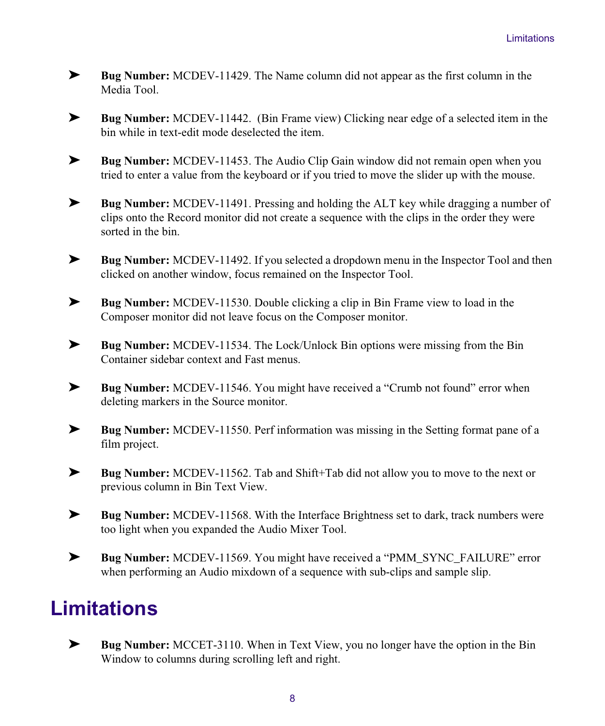- ➤ **Bug Number:** MCDEV-11429. The Name column did not appear as the first column in the Media Tool.
- ➤ **Bug Number:** MCDEV-11442. (Bin Frame view) Clicking near edge of a selected item in the bin while in text-edit mode deselected the item.
- ➤ **Bug Number:** MCDEV-11453. The Audio Clip Gain window did not remain open when you tried to enter a value from the keyboard or if you tried to move the slider up with the mouse.
- ➤ **Bug Number:** MCDEV-11491. Pressing and holding the ALT key while dragging a number of clips onto the Record monitor did not create a sequence with the clips in the order they were sorted in the bin.
- ➤ **Bug Number:** MCDEV-11492. If you selected a dropdown menu in the Inspector Tool and then clicked on another window, focus remained on the Inspector Tool.
- ➤ **Bug Number:** MCDEV-11530. Double clicking a clip in Bin Frame view to load in the Composer monitor did not leave focus on the Composer monitor.
- ➤ **Bug Number:** MCDEV-11534. The Lock/Unlock Bin options were missing from the Bin Container sidebar context and Fast menus.
- ➤ **Bug Number:** MCDEV-11546. You might have received a "Crumb not found" error when deleting markers in the Source monitor.
- ➤ **Bug Number:** MCDEV-11550. Perf information was missing in the Setting format pane of a film project.
- ➤ **Bug Number:** MCDEV-11562. Tab and Shift+Tab did not allow you to move to the next or previous column in Bin Text View.
- ➤ **Bug Number:** MCDEV-11568. With the Interface Brightness set to dark, track numbers were too light when you expanded the Audio Mixer Tool.
- ➤ **Bug Number:** MCDEV-11569. You might have received a "PMM\_SYNC\_FAILURE" error when performing an Audio mixdown of a sequence with sub-clips and sample slip.

## <span id="page-7-0"></span>**Limitations**

➤ **Bug Number:** MCCET-3110. When in Text View, you no longer have the option in the Bin Window to columns during scrolling left and right.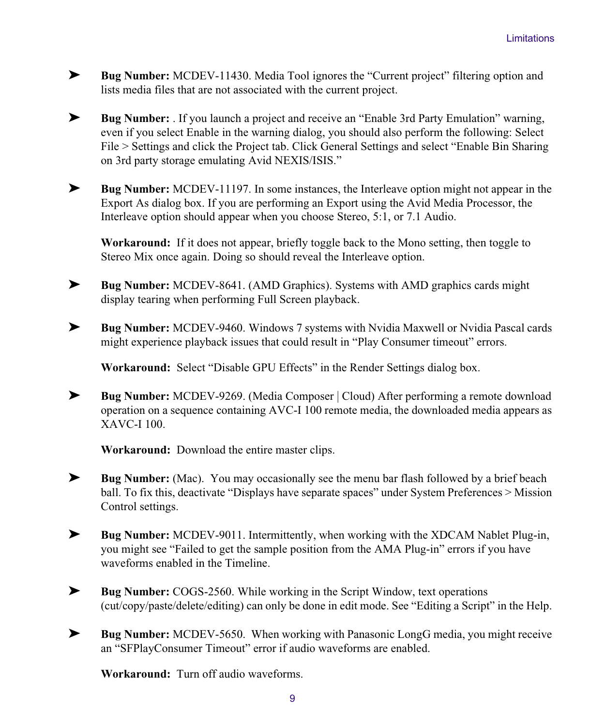- ➤ **Bug Number:** MCDEV-11430. Media Tool ignores the "Current project" filtering option and lists media files that are not associated with the current project.
- ➤ **Bug Number:** . If you launch a project and receive an "Enable 3rd Party Emulation" warning, even if you select Enable in the warning dialog, you should also perform the following: Select File > Settings and click the Project tab. Click General Settings and select "Enable Bin Sharing on 3rd party storage emulating Avid NEXIS/ISIS."
- ➤ **Bug Number:** MCDEV-11197. In some instances, the Interleave option might not appear in the Export As dialog box. If you are performing an Export using the Avid Media Processor, the Interleave option should appear when you choose Stereo, 5:1, or 7.1 Audio.

**Workaround:** If it does not appear, briefly toggle back to the Mono setting, then toggle to Stereo Mix once again. Doing so should reveal the Interleave option.

- ➤ **Bug Number:** MCDEV-8641. (AMD Graphics). Systems with AMD graphics cards might display tearing when performing Full Screen playback.
- ➤ **Bug Number:** MCDEV-9460. Windows 7 systems with Nvidia Maxwell or Nvidia Pascal cards might experience playback issues that could result in "Play Consumer timeout" errors.

**Workaround:** Select "Disable GPU Effects" in the Render Settings dialog box.

➤ **Bug Number:** MCDEV-9269. (Media Composer | Cloud) After performing a remote download operation on a sequence containing AVC-I 100 remote media, the downloaded media appears as XAVC-I 100.

**Workaround:** Download the entire master clips.

- ► **Bug Number:** (Mac). You may occasionally see the menu bar flash followed by a brief beach ball. To fix this, deactivate "Displays have separate spaces" under System Preferences > Mission Control settings.
- ➤ **Bug Number:** MCDEV-9011. Intermittently, when working with the XDCAM Nablet Plug-in, you might see "Failed to get the sample position from the AMA Plug-in" errors if you have waveforms enabled in the Timeline.
- ➤ **Bug Number:** COGS-2560. While working in the Script Window, text operations (cut/copy/paste/delete/editing) can only be done in edit mode. See "Editing a Script" in the Help.
- ➤ **Bug Number:** MCDEV-5650. When working with Panasonic LongG media, you might receive an "SFPlayConsumer Timeout" error if audio waveforms are enabled.

**Workaround:** Turn off audio waveforms.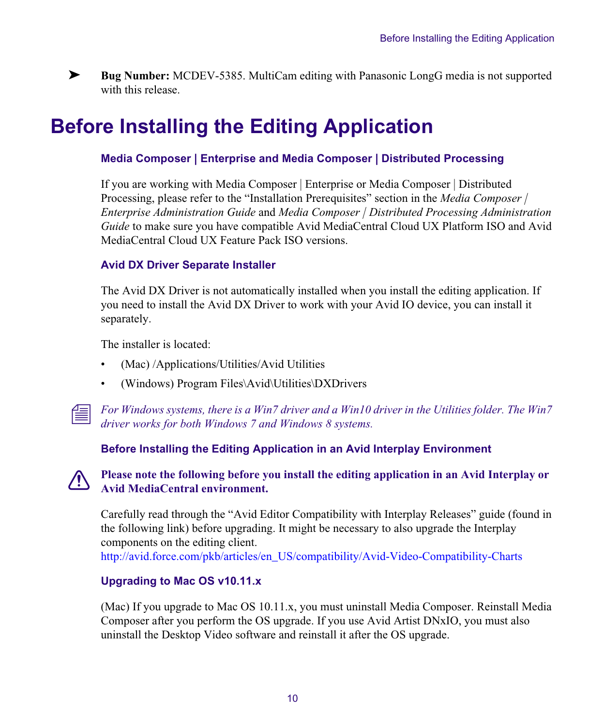

➤ **Bug Number:** MCDEV-5385. MultiCam editing with Panasonic LongG media is not supported with this release.

## **Before Installing the Editing Application**

### **Media Composer | Enterprise and Media Composer | Distributed Processing**

If you are working with Media Composer | Enterprise or Media Composer | Distributed Processing, please refer to the "Installation Prerequisites" section in the *Media Composer | Enterprise Administration Guide* and *Media Composer | Distributed Processing Administration Guide* to make sure you have compatible Avid MediaCentral Cloud UX Platform ISO and Avid MediaCentral Cloud UX Feature Pack ISO versions.

### **Avid DX Driver Separate Installer**

The Avid DX Driver is not automatically installed when you install the editing application. If you need to install the Avid DX Driver to work with your Avid IO device, you can install it separately.

The installer is located:

- (Mac) /Applications/Utilities/Avid Utilities
- (Windows) Program Files\Avid\Utilities\DXDrivers



n *For Windows systems, there is a Win7 driver and a Win10 driver in the Utilities folder. The Win7 driver works for both Windows 7 and Windows 8 systems.*

### **Before Installing the Editing Application in an Avid Interplay Environment**

### c **Please note the following before you install the editing application in an Avid Interplay or Avid MediaCentral environment.**

Carefully read through the "Avid Editor Compatibility with Interplay Releases" guide (found in the following link) before upgrading. It might be necessary to also upgrade the Interplay components on the editing client. [http://avid.force.com/pkb/articles/en\\_US/compatibility/Avid-Video-Compatibility-Charts](http://avid.force.com/pkb/articles/en_US/compatibility/Avid-Video-Compatibility-Charts)

### **Upgrading to Mac OS v10.11.x**

(Mac) If you upgrade to Mac OS 10.11.x, you must uninstall Media Composer. Reinstall Media Composer after you perform the OS upgrade. If you use Avid Artist DNxIO, you must also uninstall the Desktop Video software and reinstall it after the OS upgrade.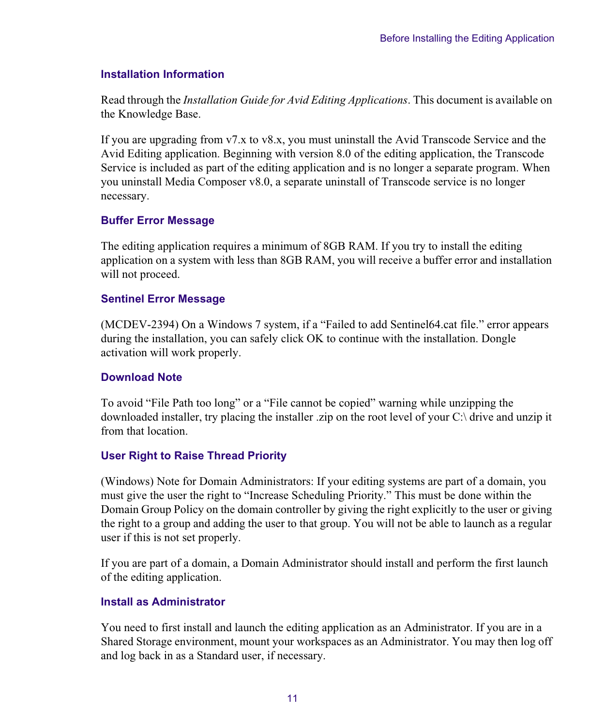### **Installation Information**

Read through the *Installation Guide for Avid Editing Applications*. This document is available on the Knowledge Base.

If you are upgrading from v7.x to v8.x, you must uninstall the Avid Transcode Service and the Avid Editing application. Beginning with version 8.0 of the editing application, the Transcode Service is included as part of the editing application and is no longer a separate program. When you uninstall Media Composer v8.0, a separate uninstall of Transcode service is no longer necessary.

### **Buffer Error Message**

The editing application requires a minimum of 8GB RAM. If you try to install the editing application on a system with less than 8GB RAM, you will receive a buffer error and installation will not proceed.

### **Sentinel Error Message**

(MCDEV-2394) On a Windows 7 system, if a "Failed to add Sentinel64.cat file." error appears during the installation, you can safely click OK to continue with the installation. Dongle activation will work properly.

### **Download Note**

To avoid "File Path too long" or a "File cannot be copied" warning while unzipping the downloaded installer, try placing the installer .zip on the root level of your C:\ drive and unzip it from that location.

## **User Right to Raise Thread Priority**

(Windows) Note for Domain Administrators: If your editing systems are part of a domain, you must give the user the right to "Increase Scheduling Priority." This must be done within the Domain Group Policy on the domain controller by giving the right explicitly to the user or giving the right to a group and adding the user to that group. You will not be able to launch as a regular user if this is not set properly.

If you are part of a domain, a Domain Administrator should install and perform the first launch of the editing application.

### **Install as Administrator**

You need to first install and launch the editing application as an Administrator. If you are in a Shared Storage environment, mount your workspaces as an Administrator. You may then log off and log back in as a Standard user, if necessary.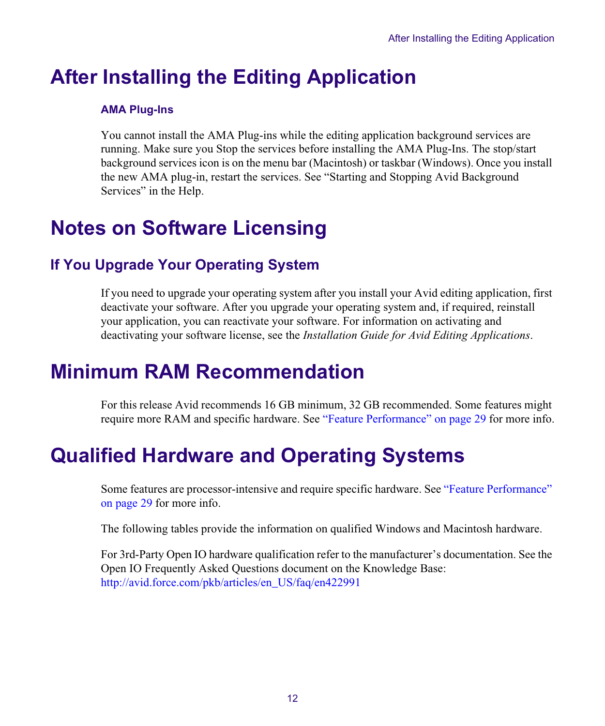## **After Installing the Editing Application**

## **AMA Plug-Ins**

You cannot install the AMA Plug-ins while the editing application background services are running. Make sure you Stop the services before installing the AMA Plug-Ins. The stop/start background services icon is on the menu bar (Macintosh) or taskbar (Windows). Once you install the new AMA plug-in, restart the services. See "Starting and Stopping Avid Background Services" in the Help.

## <span id="page-11-0"></span>**Notes on Software Licensing**

## **If You Upgrade Your Operating System**

If you need to upgrade your operating system after you install your Avid editing application, first deactivate your software. After you upgrade your operating system and, if required, reinstall your application, you can reactivate your software. For information on activating and deactivating your software license, see the *Installation Guide for Avid Editing Applications*.

## **Minimum RAM Recommendation**

For this release Avid recommends 16 GB minimum, 32 GB recommended. Some features might require more RAM and specific hardware. See ["Feature Performance" on page 29](#page-28-0) for more info.

## <span id="page-11-1"></span>**Qualified Hardware and Operating Systems**

Some features are processor-intensive and require specific hardware. See ["Feature Performance"](#page-28-0)  [on page 29](#page-28-0) for more info.

The following tables provide the information on qualified Windows and Macintosh hardware.

For 3rd-Party Open IO hardware qualification refer to the manufacturer's documentation. See the Open IO Frequently Asked Questions document on the Knowledge Base: [http://avid.force.com/pkb/articles/en\\_US/faq/en422991](http://avid.force.com/pkb/articles/en_US/faq/en422991)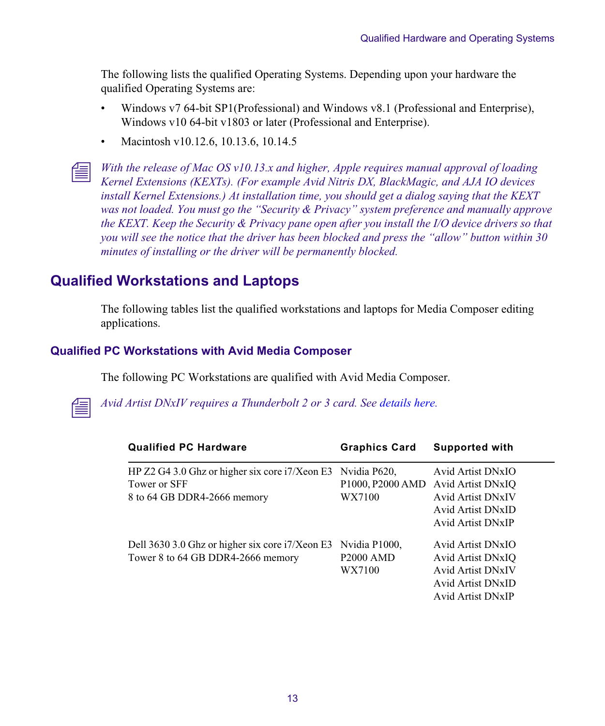The following lists the qualified Operating Systems. Depending upon your hardware the qualified Operating Systems are:

- Windows v7 64-bit SP1(Professional) and Windows v8.1 (Professional and Enterprise), Windows v10 64-bit v1803 or later (Professional and Enterprise).
- Macintosh v10.12.6, 10.13.6, 10.14.5

n *With the release of Mac OS v10.13.x and higher, Apple requires manual approval of loading Kernel Extensions (KEXTs). (For example Avid Nitris DX, BlackMagic, and AJA IO devices install Kernel Extensions.) At installation time, you should get a dialog saying that the KEXT was not loaded. You must go the "Security & Privacy" system preference and manually approve the KEXT. Keep the Security & Privacy pane open after you install the I/O device drivers so that you will see the notice that the driver has been blocked and press the "allow" button within 30 minutes of installing or the driver will be permanently blocked.* 

## <span id="page-12-0"></span>**Qualified Workstations and Laptops**

The following tables list the qualified workstations and laptops for Media Composer editing applications.

### **Qualified PC Workstations with Avid Media Composer**

The following PC Workstations are qualified with Avid Media Composer.



n *Avid Artist DNxIV requires a Thunderbolt 2 or 3 card. Se[e details here](http://avid.force.com/pkb/articles/en_US/Compatibility/DX-DNxIO-connection-chart).*

| <b>Qualified PC Hardware</b>                                                                                   | <b>Graphics Card</b>                                                | <b>Supported with</b>                                                                                        |
|----------------------------------------------------------------------------------------------------------------|---------------------------------------------------------------------|--------------------------------------------------------------------------------------------------------------|
| HP Z2 G4 3.0 Ghz or higher six core $\frac{17}{\text{Xeon E3}}$<br>Tower or SFF<br>8 to 64 GB DDR4-2666 memory | Nvidia P620,<br>P <sub>1000</sub> , P <sub>2000</sub> AMD<br>WX7100 | Avid Artist DNxIO<br>Avid Artist DNxIO<br>Avid Artist DNxIV<br>Avid Artist DNxID<br>Avid Artist DNxIP        |
| Dell 3630 3.0 Ghz or higher six core i7/Xeon E3<br>Tower 8 to 64 GB DDR4-2666 memory                           | Nvidia P1000,<br><b>P2000 AMD</b><br>WX7100                         | Avid Artist DNxIO<br>Avid Artist DNxIO<br><b>Avid Artist DNxIV</b><br>Avid Artist DNxID<br>Avid Artist DNxIP |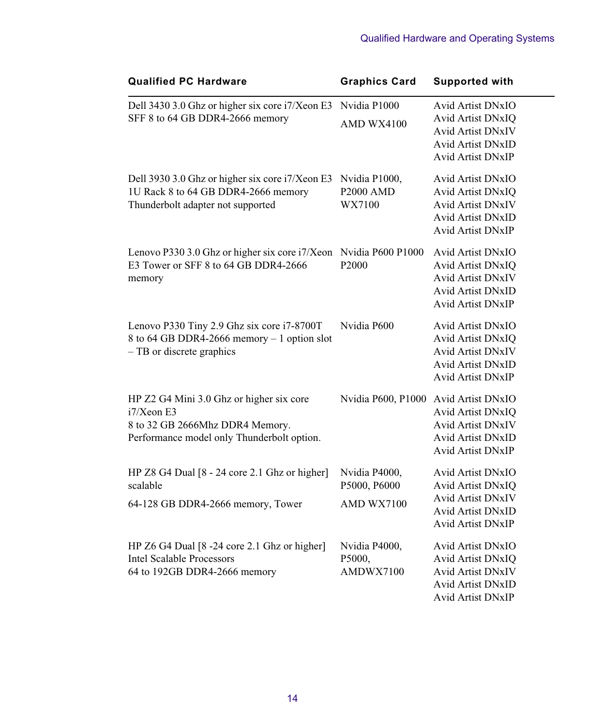| <b>Qualified PC Hardware</b>                    | <b>Graphics Card</b> | <b>Supported with</b>    |
|-------------------------------------------------|----------------------|--------------------------|
| Dell 3430 3.0 Ghz or higher six core i7/Xeon E3 | Nvidia P1000         | <b>Avid Artist DNxIO</b> |
| SFF 8 to 64 GB DDR4-2666 memory                 | AMD WX4100           | Avid Artist DNxIQ        |
|                                                 |                      | <b>Avid Artist DNxIV</b> |
|                                                 |                      | <b>Avid Artist DNxID</b> |
|                                                 |                      | <b>Avid Artist DNxIP</b> |
| Dell 3930 3.0 Ghz or higher six core i7/Xeon E3 | Nvidia P1000,        | <b>Avid Artist DNxIO</b> |
| 1U Rack 8 to 64 GB DDR4-2666 memory             | P2000 AMD            | Avid Artist DNxIQ        |
| Thunderbolt adapter not supported               | WX7100               | <b>Avid Artist DNxIV</b> |
|                                                 |                      | Avid Artist DNxID        |
|                                                 |                      | <b>Avid Artist DNxIP</b> |
| Lenovo P330 3.0 Ghz or higher six core i7/Xeon  | Nvidia P600 P1000    | Avid Artist DNxIO        |
| E3 Tower or SFF 8 to 64 GB DDR4-2666            | P2000                | Avid Artist DNxIQ        |
| memory                                          |                      | <b>Avid Artist DNxIV</b> |
|                                                 |                      | <b>Avid Artist DNxID</b> |
|                                                 |                      | <b>Avid Artist DNxIP</b> |
| Lenovo P330 Tiny 2.9 Ghz six core i7-8700T      | Nvidia P600          | Avid Artist DNxIO        |
| 8 to 64 GB DDR4-2666 memory - 1 option slot     |                      | Avid Artist DNxIQ        |
| $-$ TB or discrete graphics                     |                      | <b>Avid Artist DNxIV</b> |
|                                                 |                      | <b>Avid Artist DNxID</b> |
|                                                 |                      | <b>Avid Artist DNxIP</b> |
| HP Z2 G4 Mini 3.0 Ghz or higher six core        | Nvidia P600, P1000   | Avid Artist DNxIO        |
| $i7/X$ eon E3                                   |                      | Avid Artist DNxIQ        |
| 8 to 32 GB 2666Mhz DDR4 Memory.                 |                      | <b>Avid Artist DNxIV</b> |
| Performance model only Thunderbolt option.      |                      | <b>Avid Artist DNxID</b> |
|                                                 |                      | <b>Avid Artist DNxIP</b> |
| HP Z8 G4 Dual [8 - 24 core 2.1 Ghz or higher]   | Nvidia P4000,        | Avid Artist DNxIO        |
| scalable                                        | P5000, P6000         | Avid Artist DNxIQ        |
| 64-128 GB DDR4-2666 memory, Tower               | AMD WX7100           | <b>Avid Artist DNxIV</b> |
|                                                 |                      | <b>Avid Artist DNxID</b> |
|                                                 |                      | Avid Artist DNxIP        |
| HP Z6 G4 Dual [8 -24 core 2.1 Ghz or higher]    | Nvidia P4000,        | Avid Artist DNxIO        |
| <b>Intel Scalable Processors</b>                | P5000,               | Avid Artist DNxIQ        |
| 64 to 192GB DDR4-2666 memory                    | AMDWX7100            | <b>Avid Artist DNxIV</b> |
|                                                 |                      | <b>Avid Artist DNxID</b> |
|                                                 |                      | Avid Artist DNxIP        |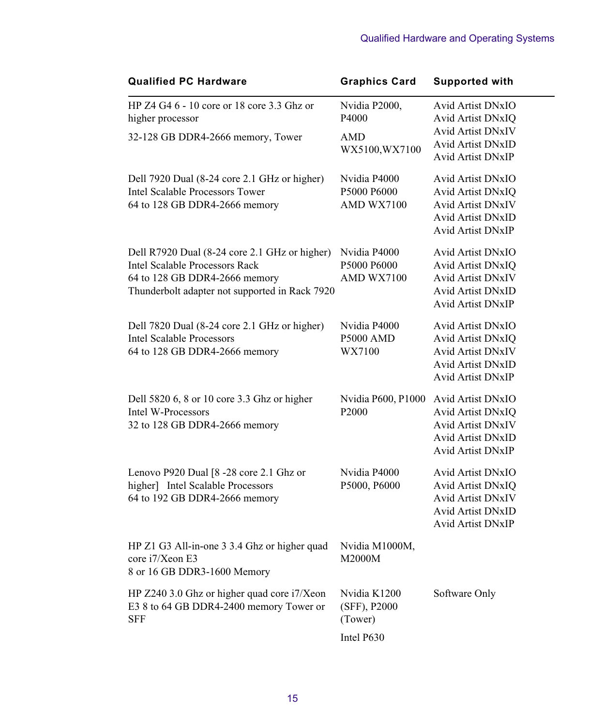| <b>Qualified PC Hardware</b>                                                                                                                                       | <b>Graphics Card</b>                       | <b>Supported with</b>                                                                                                             |
|--------------------------------------------------------------------------------------------------------------------------------------------------------------------|--------------------------------------------|-----------------------------------------------------------------------------------------------------------------------------------|
| HP Z4 G4 6 - 10 core or 18 core 3.3 Ghz or<br>higher processor                                                                                                     | Nvidia P2000,<br>P4000                     | Avid Artist DNxIO<br>Avid Artist DNxIQ                                                                                            |
| 32-128 GB DDR4-2666 memory, Tower                                                                                                                                  | AMD<br>WX5100, WX7100                      | <b>Avid Artist DNxIV</b><br><b>Avid Artist DNxID</b><br><b>Avid Artist DNxIP</b>                                                  |
| Dell 7920 Dual (8-24 core 2.1 GHz or higher)<br>Intel Scalable Processors Tower<br>64 to 128 GB DDR4-2666 memory                                                   | Nvidia P4000<br>P5000 P6000<br>AMD WX7100  | Avid Artist DNxIO<br>Avid Artist DNxIQ<br><b>Avid Artist DNxIV</b><br><b>Avid Artist DNxID</b><br><b>Avid Artist DNxIP</b>        |
| Dell R7920 Dual (8-24 core 2.1 GHz or higher)<br>Intel Scalable Processors Rack<br>64 to 128 GB DDR4-2666 memory<br>Thunderbolt adapter not supported in Rack 7920 | Nvidia P4000<br>P5000 P6000<br>AMD WX7100  | Avid Artist DNxIO<br>Avid Artist DNxIQ<br><b>Avid Artist DNxIV</b><br><b>Avid Artist DNxID</b><br><b>Avid Artist DNxIP</b>        |
| Dell 7820 Dual (8-24 core 2.1 GHz or higher)<br><b>Intel Scalable Processors</b><br>64 to 128 GB DDR4-2666 memory                                                  | Nvidia P4000<br><b>P5000 AMD</b><br>WX7100 | Avid Artist DNxIO<br>Avid Artist DNxIQ<br><b>Avid Artist DNxIV</b><br><b>Avid Artist DNxID</b><br><b>Avid Artist DNxIP</b>        |
| Dell 5820 6, 8 or 10 core 3.3 Ghz or higher<br>Intel W-Processors<br>32 to 128 GB DDR4-2666 memory                                                                 | Nvidia P600, P1000<br>P <sub>2000</sub>    | <b>Avid Artist DNxIO</b><br>Avid Artist DNxIQ<br><b>Avid Artist DNxIV</b><br><b>Avid Artist DNxID</b><br><b>Avid Artist DNxIP</b> |
| Lenovo P920 Dual [8 -28 core 2.1 Ghz or<br>higher] Intel Scalable Processors<br>64 to 192 GB DDR4-2666 memory                                                      | Nvidia P4000<br>P5000, P6000               | Avid Artist DNxIO<br>Avid Artist DNxIQ<br><b>Avid Artist DNxIV</b><br><b>Avid Artist DNxID</b><br><b>Avid Artist DNxIP</b>        |
| HP Z1 G3 All-in-one 3 3.4 Ghz or higher quad<br>core i7/Xeon E3<br>8 or 16 GB DDR3-1600 Memory                                                                     | Nvidia M1000M,<br>M2000M                   |                                                                                                                                   |
| HP Z240 3.0 Ghz or higher quad core i7/Xeon<br>E3 8 to 64 GB DDR4-2400 memory Tower or<br><b>SFF</b>                                                               | Nvidia K1200<br>(SFF), P2000<br>(Tower)    | Software Only                                                                                                                     |
|                                                                                                                                                                    | Intel P630                                 |                                                                                                                                   |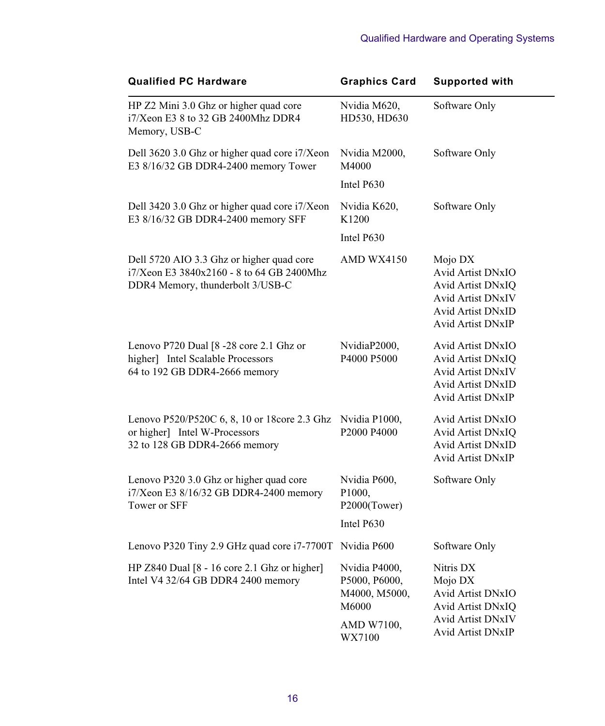| <b>Qualified PC Hardware</b>                                                                                               | <b>Graphics Card</b>                                     | <b>Supported with</b>                                                                                                   |
|----------------------------------------------------------------------------------------------------------------------------|----------------------------------------------------------|-------------------------------------------------------------------------------------------------------------------------|
| HP Z2 Mini 3.0 Ghz or higher quad core<br>i7/Xeon E3 8 to 32 GB 2400Mhz DDR4<br>Memory, USB-C                              | Nvidia M620,<br>HD530, HD630                             | Software Only                                                                                                           |
| Dell 3620 3.0 Ghz or higher quad core i7/Xeon<br>E3 8/16/32 GB DDR4-2400 memory Tower                                      | Nvidia M2000,<br>M4000                                   | Software Only                                                                                                           |
|                                                                                                                            | Intel P630                                               |                                                                                                                         |
| Dell 3420 3.0 Ghz or higher quad core i7/Xeon<br>E3 8/16/32 GB DDR4-2400 memory SFF                                        | Nvidia K620,<br>K1200                                    | Software Only                                                                                                           |
|                                                                                                                            | Intel P630                                               |                                                                                                                         |
| Dell 5720 AIO 3.3 Ghz or higher quad core<br>i7/Xeon E3 3840x2160 - 8 to 64 GB 2400Mhz<br>DDR4 Memory, thunderbolt 3/USB-C | AMD WX4150                                               | Mojo DX<br>Avid Artist DNxIO<br>Avid Artist DNxIQ<br>Avid Artist DNxIV<br><b>Avid Artist DNxID</b><br>Avid Artist DNxIP |
| Lenovo P720 Dual [8 -28 core 2.1 Ghz or<br>higher] Intel Scalable Processors<br>64 to 192 GB DDR4-2666 memory              | NvidiaP2000,<br>P4000 P5000                              | Avid Artist DNxIO<br>Avid Artist DNxIQ<br>Avid Artist DNxIV<br><b>Avid Artist DNxID</b><br>Avid Artist DNxIP            |
| Lenovo P520/P520C 6, 8, 10 or 18core 2.3 Ghz<br>or higher] Intel W-Processors<br>32 to 128 GB DDR4-2666 memory             | Nvidia P1000,<br>P2000 P4000                             | Avid Artist DNxIO<br>Avid Artist DNxIO<br><b>Avid Artist DNxID</b><br>Avid Artist DNxIP                                 |
| Lenovo P320 3.0 Ghz or higher quad core<br>i7/Xeon E3 8/16/32 GB DDR4-2400 memory<br>Tower or SFF                          | Nvidia P600,<br>P <sub>1000</sub><br>P2000(Tower)        | Software Only                                                                                                           |
|                                                                                                                            | Intel P630                                               |                                                                                                                         |
| Lenovo P320 Tiny 2.9 GHz quad core i7-7700T Nvidia P600                                                                    |                                                          | Software Only                                                                                                           |
| HP Z840 Dual [8 - 16 core 2.1 Ghz or higher]<br>Intel V4 32/64 GB DDR4 2400 memory                                         | Nvidia P4000,<br>P5000, P6000,<br>M4000, M5000,<br>M6000 | Nitris DX<br>Mojo DX<br>Avid Artist DNxIO<br>Avid Artist DNxIQ                                                          |
|                                                                                                                            | AMD W7100,<br>WX7100                                     | Avid Artist DNxIV<br>Avid Artist DNxIP                                                                                  |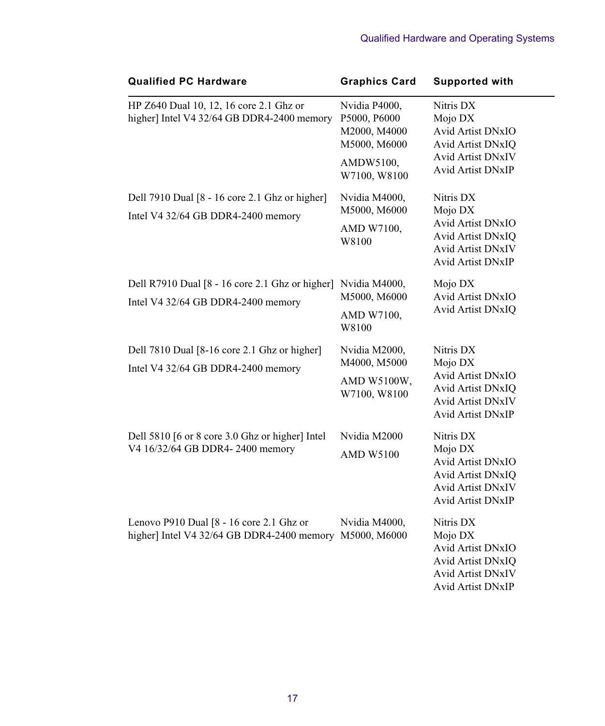| <b>Qualified PC Hardware</b>                                                                        | <b>Graphics Card</b>                                          | <b>Supported with</b>                                                                                                         |
|-----------------------------------------------------------------------------------------------------|---------------------------------------------------------------|-------------------------------------------------------------------------------------------------------------------------------|
| HP Z640 Dual 10, 12, 16 core 2.1 Ghz or<br>higher] Intel V4 32/64 GB DDR4-2400 memory               | Nvidia P4000,<br>P5000, P6000<br>M2000, M4000<br>M5000, M6000 | Nitris DX<br>Mojo DX<br><b>Avid Artist DNxIO</b><br>Avid Artist DNxIQ                                                         |
|                                                                                                     | AMDW5100,<br>W7100, W8100                                     | <b>Avid Artist DNxIV</b><br><b>Avid Artist DNxIP</b>                                                                          |
| Dell 7910 Dual [8 - 16 core 2.1 Ghz or higher]<br>Intel V4 32/64 GB DDR4-2400 memory                | Nvidia M4000,<br>M5000, M6000<br>AMD W7100,<br>W8100          | Nitris DX<br>Mojo DX<br>Avid Artist DNxIO<br>Avid Artist DNxIQ<br><b>Avid Artist DNxIV</b><br><b>Avid Artist DNxIP</b>        |
| Dell R7910 Dual [8 - 16 core 2.1 Ghz or higher]<br>Intel V4 32/64 GB DDR4-2400 memory               | Nvidia M4000,<br>M5000, M6000<br>AMD W7100,<br>W8100          | Mojo DX<br>Avid Artist DNxIO<br>Avid Artist DNxIQ                                                                             |
| Dell 7810 Dual [8-16 core 2.1 Ghz or higher]<br>Intel V4 32/64 GB DDR4-2400 memory                  | Nvidia M2000,<br>M4000, M5000<br>AMD W5100W,<br>W7100, W8100  | Nitris DX<br>Mojo DX<br>Avid Artist DNxIO<br><b>Avid Artist DNxIO</b><br><b>Avid Artist DNxIV</b><br>Avid Artist DNxIP        |
| Dell 5810 [6 or 8 core 3.0 Ghz or higher] Intel<br>V4 16/32/64 GB DDR4-2400 memory                  | Nvidia M2000<br><b>AMD W5100</b>                              | Nitris DX<br>Mojo DX<br>Avid Artist DNxIO<br>Avid Artist DNxIQ<br>Avid Artist DNxIV<br><b>Avid Artist DNxIP</b>               |
| Lenovo P910 Dual [8 - 16 core 2.1 Ghz or<br>higher] Intel V4 32/64 GB DDR4-2400 memory M5000, M6000 | Nvidia M4000,                                                 | Nitris DX<br>Mojo DX<br><b>Avid Artist DNxIO</b><br>Avid Artist DNxIQ<br><b>Avid Artist DNxIV</b><br><b>Avid Artist DNxIP</b> |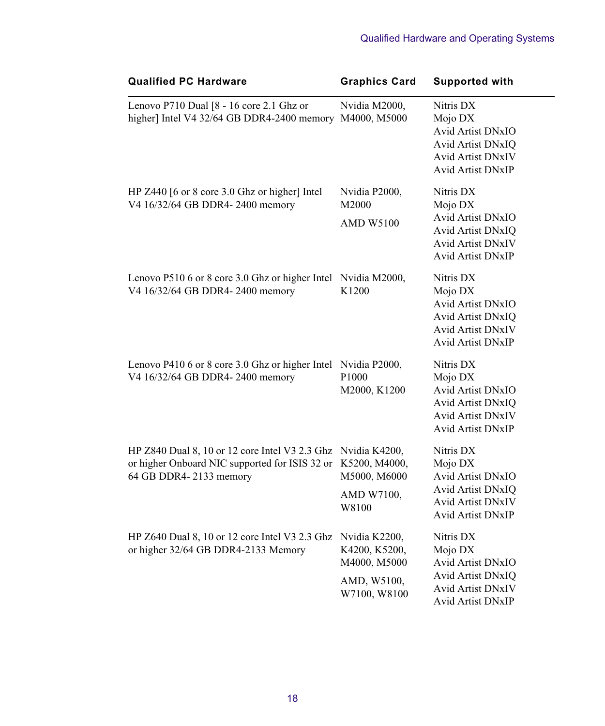| <b>Qualified PC Hardware</b>                                                                                                             | <b>Graphics Card</b>                                         | <b>Supported with</b>                                                                                                  |
|------------------------------------------------------------------------------------------------------------------------------------------|--------------------------------------------------------------|------------------------------------------------------------------------------------------------------------------------|
| Lenovo P710 Dual [8 - 16 core 2.1 Ghz or<br>higher] Intel V4 32/64 GB DDR4-2400 memory M4000, M5000                                      | Nvidia M2000,                                                | Nitris DX<br>Mojo DX<br>Avid Artist DNxIO<br>Avid Artist DNxIQ<br>Avid Artist DNxIV<br>Avid Artist DNxIP               |
| HP Z440 [6 or 8 core 3.0 Ghz or higher] Intel<br>V4 16/32/64 GB DDR4-2400 memory                                                         | Nvidia P2000,<br>M2000<br><b>AMD W5100</b>                   | Nitris DX<br>Mojo DX<br><b>Avid Artist DNxIO</b><br>Avid Artist DNxIQ<br>Avid Artist DNxIV<br><b>Avid Artist DNxIP</b> |
| Lenovo P510 6 or 8 core 3.0 Ghz or higher Intel<br>V4 16/32/64 GB DDR4-2400 memory                                                       | Nvidia M2000,<br>K1200                                       | Nitris DX<br>Mojo DX<br>Avid Artist DNxIO<br>Avid Artist DNxIQ<br>Avid Artist DNxIV<br>Avid Artist DNxIP               |
| Lenovo P410 6 or 8 core 3.0 Ghz or higher Intel Nvidia P2000,<br>V4 16/32/64 GB DDR4-2400 memory                                         | P1000<br>M2000, K1200                                        | Nitris DX<br>Mojo DX<br>Avid Artist DNxIO<br>Avid Artist DNxIQ<br><b>Avid Artist DNxIV</b><br>Avid Artist DNxIP        |
| HP Z840 Dual 8, 10 or 12 core Intel V3 2.3 Ghz Nvidia K4200,<br>or higher Onboard NIC supported for ISIS 32 or<br>64 GB DDR4-2133 memory | K5200, M4000,<br>M5000, M6000<br>AMD W7100,<br>W8100         | Nitris DX<br>Mojo DX<br>Avid Artist DNxIO<br>Avid Artist DNxIQ<br>Avid Artist DNxIV<br>Avid Artist DNxIP               |
| HP Z640 Dual 8, 10 or 12 core Intel V3 2.3 Ghz Nvidia K2200,<br>or higher 32/64 GB DDR4-2133 Memory                                      | K4200, K5200,<br>M4000, M5000<br>AMD, W5100,<br>W7100, W8100 | Nitris DX<br>Mojo DX<br>Avid Artist DNxIO<br>Avid Artist DNxIQ<br><b>Avid Artist DNxIV</b><br>Avid Artist DNxIP        |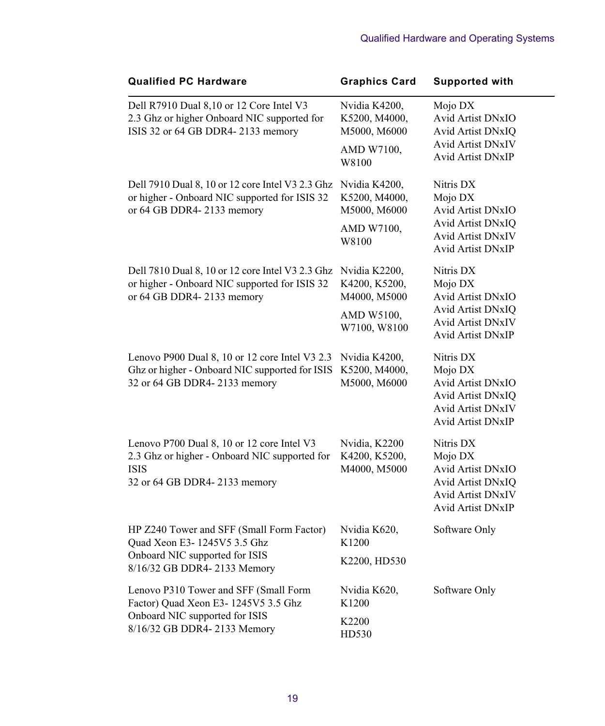| <b>Qualified PC Hardware</b>                                                                                                                  | <b>Graphics Card</b>                           | <b>Supported with</b>                                                                                           |
|-----------------------------------------------------------------------------------------------------------------------------------------------|------------------------------------------------|-----------------------------------------------------------------------------------------------------------------|
| Dell R7910 Dual 8,10 or 12 Core Intel V3<br>2.3 Ghz or higher Onboard NIC supported for<br>ISIS 32 or 64 GB DDR4-2133 memory                  | Nvidia K4200,<br>K5200, M4000,<br>M5000, M6000 | Mojo DX<br>Avid Artist DNxIO<br>Avid Artist DNxIQ                                                               |
|                                                                                                                                               | AMD W7100,<br>W8100                            | <b>Avid Artist DNxIV</b><br>Avid Artist DNxIP                                                                   |
| Dell 7910 Dual 8, 10 or 12 core Intel V3 2.3 Ghz<br>or higher - Onboard NIC supported for ISIS 32<br>or 64 GB DDR4-2133 memory                | Nvidia K4200,<br>K5200, M4000,<br>M5000, M6000 | Nitris DX<br>Mojo DX<br>Avid Artist DNxIO                                                                       |
|                                                                                                                                               | AMD W7100,<br>W8100                            | Avid Artist DNxIQ<br>Avid Artist DNxIV<br>Avid Artist DNxIP                                                     |
| Dell 7810 Dual 8, 10 or 12 core Intel V3 2.3 Ghz Nvidia K2200,<br>or higher - Onboard NIC supported for ISIS 32<br>or 64 GB DDR4-2133 memory  | K4200, K5200,<br>M4000, M5000                  | Nitris DX<br>Mojo DX<br>Avid Artist DNxIO                                                                       |
|                                                                                                                                               | AMD W5100,<br>W7100, W8100                     | Avid Artist DNxIQ<br>Avid Artist DNxIV<br>Avid Artist DNxIP                                                     |
| Lenovo P900 Dual 8, 10 or 12 core Intel V3 2.3<br>Ghz or higher - Onboard NIC supported for ISIS<br>32 or 64 GB DDR4-2133 memory              | Nvidia K4200,<br>K5200, M4000,<br>M5000, M6000 | Nitris DX<br>Mojo DX<br>Avid Artist DNxIO<br>Avid Artist DNxIQ<br><b>Avid Artist DNxIV</b><br>Avid Artist DNxIP |
| Lenovo P700 Dual 8, 10 or 12 core Intel V3<br>2.3 Ghz or higher - Onboard NIC supported for<br><b>ISIS</b><br>32 or 64 GB DDR4-2133 memory    | Nvidia, K2200<br>K4200, K5200,<br>M4000, M5000 | Nitris DX<br>Mojo DX<br>Avid Artist DNxIO<br>Avid Artist DNxIQ<br>Avid Artist DNxIV<br><b>Avid Artist DNxIP</b> |
| HP Z240 Tower and SFF (Small Form Factor)<br>Quad Xeon E3-1245V5 3.5 Ghz                                                                      | Nvidia K620,<br>K1200                          | Software Only                                                                                                   |
| Onboard NIC supported for ISIS<br>8/16/32 GB DDR4-2133 Memory                                                                                 | K2200, HD530                                   |                                                                                                                 |
| Lenovo P310 Tower and SFF (Small Form<br>Factor) Quad Xeon E3-1245V5 3.5 Ghz<br>Onboard NIC supported for ISIS<br>8/16/32 GB DDR4-2133 Memory | Nvidia K620,<br>K1200                          | Software Only                                                                                                   |
|                                                                                                                                               | K2200<br>HD530                                 |                                                                                                                 |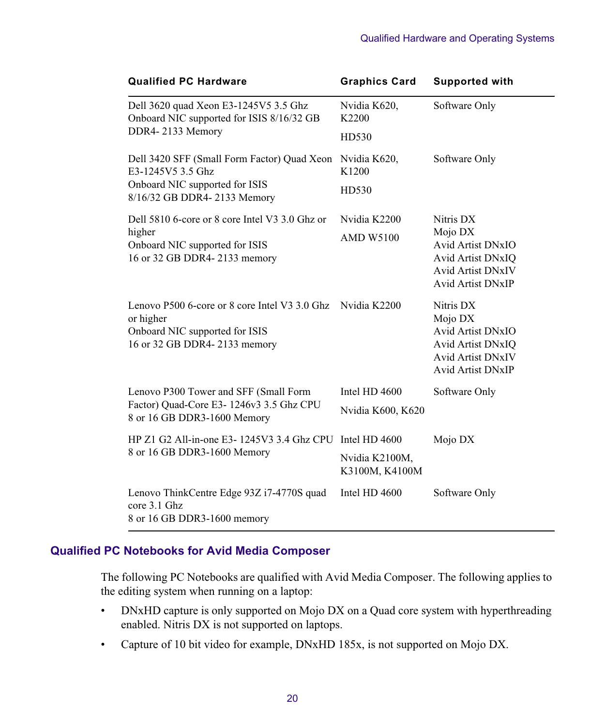| <b>Qualified PC Hardware</b>                                                                                                 | <b>Graphics Card</b>             | <b>Supported with</b>                                                                                                         |
|------------------------------------------------------------------------------------------------------------------------------|----------------------------------|-------------------------------------------------------------------------------------------------------------------------------|
| Dell 3620 quad Xeon E3-1245V5 3.5 Ghz<br>Onboard NIC supported for ISIS 8/16/32 GB                                           | Nvidia K620,<br>K2200            | Software Only                                                                                                                 |
| DDR4-2133 Memory                                                                                                             | HD530                            |                                                                                                                               |
| Dell 3420 SFF (Small Form Factor) Quad Xeon<br>E3-1245V5 3.5 Ghz                                                             | Nvidia K620,<br>K1200            | Software Only                                                                                                                 |
| Onboard NIC supported for ISIS<br>8/16/32 GB DDR4-2133 Memory                                                                | HD530                            |                                                                                                                               |
| Dell 5810 6-core or 8 core Intel V3 3.0 Ghz or                                                                               | Nvidia K2200                     | Nitris DX<br>Mojo DX<br><b>Avid Artist DNxIO</b><br>Avid Artist DNxIQ<br><b>Avid Artist DNxIV</b><br><b>Avid Artist DNxIP</b> |
| higher<br>Onboard NIC supported for ISIS<br>16 or 32 GB DDR4-2133 memory                                                     | <b>AMD W5100</b>                 |                                                                                                                               |
| Lenovo P500 6-core or 8 core Intel V3 3.0 Ghz<br>or higher<br>Onboard NIC supported for ISIS<br>16 or 32 GB DDR4-2133 memory | Nvidia K2200                     | Nitris DX<br>Mojo DX<br><b>Avid Artist DNxIO</b><br><b>Avid Artist DNxIO</b><br><b>Avid Artist DNxIV</b><br>Avid Artist DNxIP |
| Lenovo P300 Tower and SFF (Small Form                                                                                        | Intel HD 4600                    | Software Only                                                                                                                 |
| Factor) Quad-Core E3-1246v3 3.5 Ghz CPU<br>8 or 16 GB DDR3-1600 Memory                                                       | Nvidia K600, K620                |                                                                                                                               |
| HP Z1 G2 All-in-one E3- 1245V3 3.4 Ghz CPU                                                                                   | Intel HD 4600                    | Mojo DX                                                                                                                       |
| 8 or 16 GB DDR3-1600 Memory                                                                                                  | Nvidia K2100M,<br>K3100M, K4100M |                                                                                                                               |
| Lenovo ThinkCentre Edge 93Z i7-4770S quad<br>core 3.1 Ghz<br>8 or 16 GB DDR3-1600 memory                                     | Intel HD 4600                    | Software Only                                                                                                                 |

## **Qualified PC Notebooks for Avid Media Composer**

The following PC Notebooks are qualified with Avid Media Composer. The following applies to the editing system when running on a laptop:

- DNxHD capture is only supported on Mojo DX on a Quad core system with hyperthreading enabled. Nitris DX is not supported on laptops.
- Capture of 10 bit video for example, DNxHD 185x, is not supported on Mojo DX.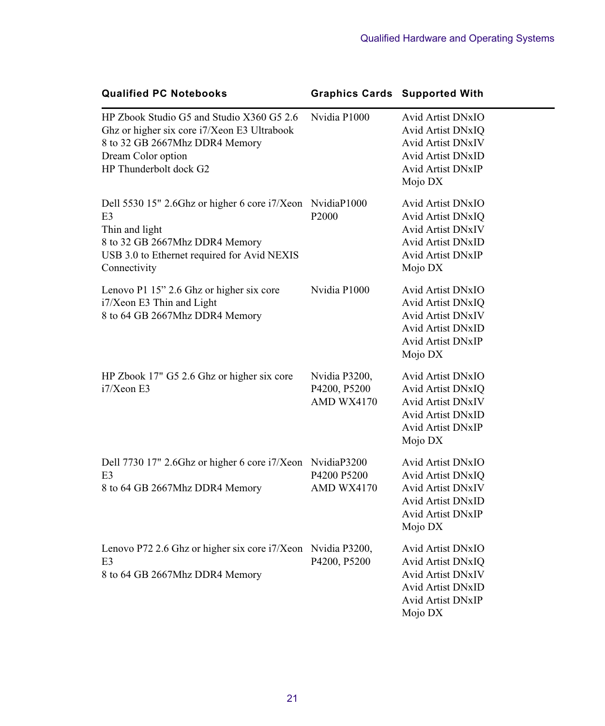| <b>Qualified PC Notebooks</b>                                                                                                                                                                  | <b>Graphics Cards Supported With</b>        |                                                                                                                                              |
|------------------------------------------------------------------------------------------------------------------------------------------------------------------------------------------------|---------------------------------------------|----------------------------------------------------------------------------------------------------------------------------------------------|
| HP Zbook Studio G5 and Studio X360 G5 2.6<br>Ghz or higher six core i7/Xeon E3 Ultrabook<br>8 to 32 GB 2667Mhz DDR4 Memory<br>Dream Color option<br>HP Thunderbolt dock G2                     | Nvidia P1000                                | <b>Avid Artist DNxIO</b><br>Avid Artist DNxIQ<br><b>Avid Artist DNxIV</b><br><b>Avid Artist DNxID</b><br><b>Avid Artist DNxIP</b><br>Mojo DX |
| Dell 5530 15" 2.6Ghz or higher 6 core i7/Xeon NvidiaP1000<br>E <sub>3</sub><br>Thin and light<br>8 to 32 GB 2667Mhz DDR4 Memory<br>USB 3.0 to Ethernet required for Avid NEXIS<br>Connectivity | P2000                                       | Avid Artist DNxIO<br>Avid Artist DNxIQ<br><b>Avid Artist DNxIV</b><br><b>Avid Artist DNxID</b><br><b>Avid Artist DNxIP</b><br>Mojo DX        |
| Lenovo P1 15" 2.6 Ghz or higher six core<br>i7/Xeon E3 Thin and Light<br>8 to 64 GB 2667Mhz DDR4 Memory                                                                                        | Nvidia P1000                                | Avid Artist DNxIO<br>Avid Artist DNxIQ<br><b>Avid Artist DNxIV</b><br><b>Avid Artist DNxID</b><br><b>Avid Artist DNxIP</b><br>Mojo DX        |
| HP Zbook 17" G5 2.6 Ghz or higher six core<br>$i7/X$ eon E3                                                                                                                                    | Nvidia P3200,<br>P4200, P5200<br>AMD WX4170 | Avid Artist DNxIO<br>Avid Artist DNxIQ<br><b>Avid Artist DNxIV</b><br><b>Avid Artist DNxID</b><br><b>Avid Artist DNxIP</b><br>Mojo DX        |
| Dell 7730 17" 2.6Ghz or higher 6 core i7/Xeon NvidiaP3200<br>E <sub>3</sub><br>8 to 64 GB 2667Mhz DDR4 Memory                                                                                  | P4200 P5200<br>AMD WX4170                   | Avid Artist DNxIO<br>Avid Artist DNxIQ<br><b>Avid Artist DNxIV</b><br><b>Avid Artist DNxID</b><br>Avid Artist DNxIP<br>Mojo DX               |
| Lenovo P72 2.6 Ghz or higher six core i7/Xeon Nvidia P3200,<br>E <sub>3</sub><br>8 to 64 GB 2667Mhz DDR4 Memory                                                                                | P4200, P5200                                | Avid Artist DNxIO<br>Avid Artist DNxIQ<br><b>Avid Artist DNxIV</b><br><b>Avid Artist DNxID</b><br><b>Avid Artist DNxIP</b><br>Mojo DX        |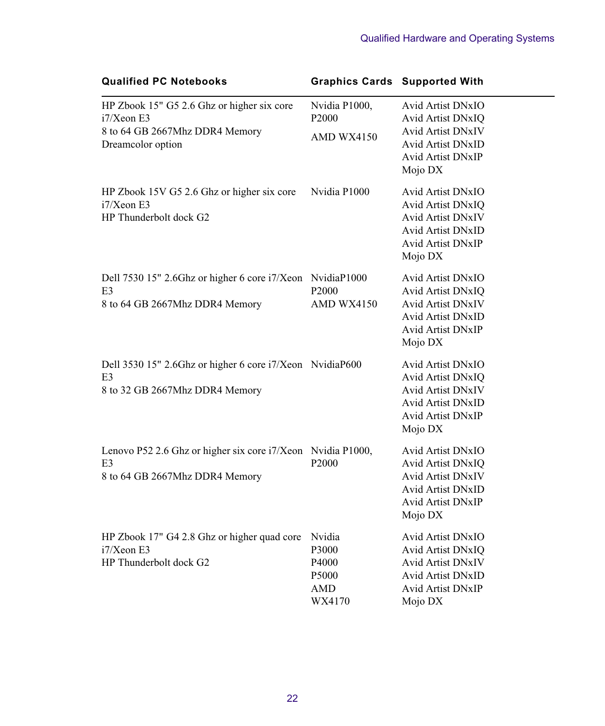| <b>Qualified PC Notebooks</b>                                                                                   |                                                                | <b>Graphics Cards Supported With</b>                                                                                                  |
|-----------------------------------------------------------------------------------------------------------------|----------------------------------------------------------------|---------------------------------------------------------------------------------------------------------------------------------------|
| HP Zbook 15" G5 2.6 Ghz or higher six core<br>$i7/X$ eon E3                                                     | Nvidia P1000,<br>P <sub>2000</sub>                             | Avid Artist DNxIO<br>Avid Artist DNxIQ                                                                                                |
| 8 to 64 GB 2667Mhz DDR4 Memory<br>Dreamcolor option                                                             | AMD WX4150                                                     | <b>Avid Artist DNxIV</b><br>Avid Artist DNxID<br>Avid Artist DNxIP<br>Mojo DX                                                         |
| HP Zbook 15V G5 2.6 Ghz or higher six core<br>i7/Xeon E3<br>HP Thunderbolt dock G2                              | Nvidia P1000                                                   | Avid Artist DNxIO<br>Avid Artist DNxIQ<br><b>Avid Artist DNxIV</b><br><b>Avid Artist DNxID</b><br><b>Avid Artist DNxIP</b><br>Mojo DX |
| Dell 7530 15" 2.6Ghz or higher 6 core i7/Xeon NvidiaP1000<br>E3<br>8 to 64 GB 2667Mhz DDR4 Memory               | P <sub>2000</sub><br>AMD WX4150                                | Avid Artist DNxIO<br>Avid Artist DNxIQ<br>Avid Artist DNxIV<br><b>Avid Artist DNxID</b><br><b>Avid Artist DNxIP</b><br>Mojo DX        |
| Dell 3530 15" 2.6Ghz or higher 6 core i7/Xeon NvidiaP600<br>E <sub>3</sub><br>8 to 32 GB 2667Mhz DDR4 Memory    |                                                                | Avid Artist DNxIO<br>Avid Artist DNxIQ<br><b>Avid Artist DNxIV</b><br>Avid Artist DNxID<br>Avid Artist DNxIP<br>Mojo DX               |
| Lenovo P52 2.6 Ghz or higher six core i7/Xeon Nvidia P1000,<br>E <sub>3</sub><br>8 to 64 GB 2667Mhz DDR4 Memory | P2000                                                          | Avid Artist DNxIO<br>Avid Artist DNxIQ<br><b>Avid Artist DNxIV</b><br>Avid Artist DNxID<br><b>Avid Artist DNxIP</b><br>Mojo DX        |
| HP Zbook 17" G4 2.8 Ghz or higher quad core<br>$i7/X$ eon E3<br>HP Thunderbolt dock G2                          | Nvidia<br>P3000<br>P4000<br>P <sub>5000</sub><br>AMD<br>WX4170 | Avid Artist DNxIO<br>Avid Artist DNxIQ<br><b>Avid Artist DNxIV</b><br>Avid Artist DNxID<br><b>Avid Artist DNxIP</b><br>Mojo DX        |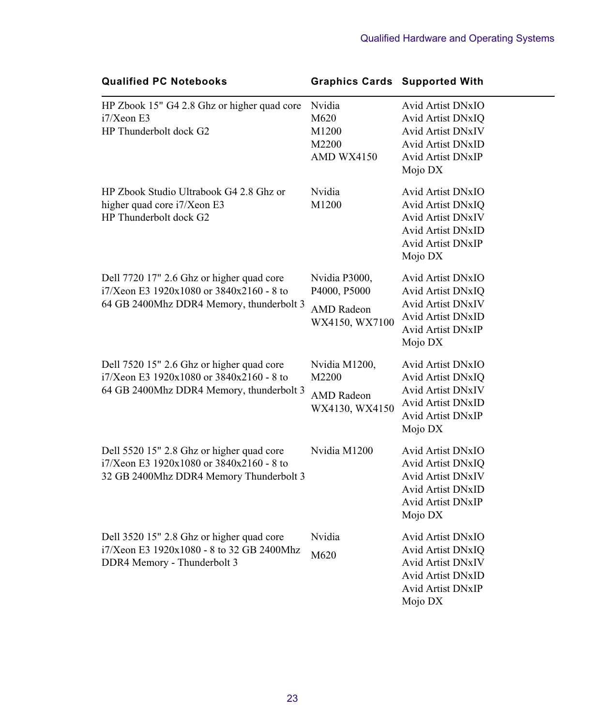| <b>Qualified PC Notebooks</b>                                                                                                     | <b>Graphics Cards Supported With</b>                                 |                                                                                                                                       |
|-----------------------------------------------------------------------------------------------------------------------------------|----------------------------------------------------------------------|---------------------------------------------------------------------------------------------------------------------------------------|
| HP Zbook 15" G4 2.8 Ghz or higher quad core<br>$i7/X$ eon E3<br>HP Thunderbolt dock G2                                            | Nvidia<br>M620<br>M1200<br>M2200<br>AMD WX4150                       | Avid Artist DNxIO<br>Avid Artist DNxIQ<br>Avid Artist DNxIV<br><b>Avid Artist DNxID</b><br>Avid Artist DNxIP<br>Mojo DX               |
| HP Zbook Studio Ultrabook G4 2.8 Ghz or<br>higher quad core i7/Xeon E3<br>HP Thunderbolt dock G2                                  | Nvidia<br>M1200                                                      | <b>Avid Artist DNxIO</b><br>Avid Artist DNxIQ<br>Avid Artist DNxIV<br><b>Avid Artist DNxID</b><br>Avid Artist DNxIP<br>Mojo DX        |
| Dell 7720 17" 2.6 Ghz or higher quad core<br>i7/Xeon E3 1920x1080 or 3840x2160 - 8 to<br>64 GB 2400Mhz DDR4 Memory, thunderbolt 3 | Nvidia P3000,<br>P4000, P5000<br><b>AMD</b> Radeon<br>WX4150, WX7100 | Avid Artist DNxIO<br>Avid Artist DNxIQ<br><b>Avid Artist DNxIV</b><br>Avid Artist DNxID<br><b>Avid Artist DNxIP</b><br>Mojo DX        |
| Dell 7520 15" 2.6 Ghz or higher quad core<br>i7/Xeon E3 1920x1080 or 3840x2160 - 8 to<br>64 GB 2400Mhz DDR4 Memory, thunderbolt 3 | Nvidia M1200,<br>M2200<br><b>AMD</b> Radeon<br>WX4130, WX4150        | Avid Artist DNxIO<br>Avid Artist DNxIQ<br><b>Avid Artist DNxIV</b><br>Avid Artist DNxID<br><b>Avid Artist DNxIP</b><br>Mojo DX        |
| Dell 5520 15" 2.8 Ghz or higher quad core<br>i7/Xeon E3 1920x1080 or 3840x2160 - 8 to<br>32 GB 2400Mhz DDR4 Memory Thunderbolt 3  | Nvidia M1200                                                         | Avid Artist DNxIO<br>Avid Artist DNxIQ<br>Avid Artist DNxIV<br><b>Avid Artist DNxID</b><br>Avid Artist DNxIP<br>Mojo DX               |
| Dell 3520 15" 2.8 Ghz or higher quad core<br>i7/Xeon E3 1920x1080 - 8 to 32 GB 2400Mhz<br>DDR4 Memory - Thunderbolt 3             | Nvidia<br>M620                                                       | Avid Artist DNxIO<br>Avid Artist DNxIQ<br><b>Avid Artist DNxIV</b><br><b>Avid Artist DNxID</b><br><b>Avid Artist DNxIP</b><br>Mojo DX |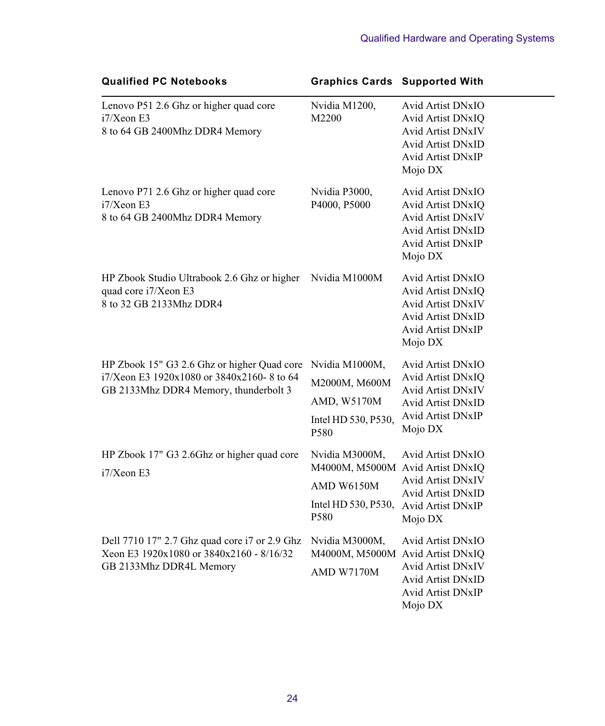| <b>Qualified PC Notebooks</b>                                                                                                     | <b>Graphics Cards Supported With</b>                                                                              |                                                                                                                                               |
|-----------------------------------------------------------------------------------------------------------------------------------|-------------------------------------------------------------------------------------------------------------------|-----------------------------------------------------------------------------------------------------------------------------------------------|
| Lenovo P51 2.6 Ghz or higher quad core<br>$i7/Xe$ on E3<br>8 to 64 GB 2400Mhz DDR4 Memory                                         | Nvidia M1200,<br>M2200                                                                                            | Avid Artist DNxIO<br>Avid Artist DNxIQ<br>Avid Artist DNxIV<br><b>Avid Artist DNxID</b><br>Avid Artist DNxIP<br>Mojo DX                       |
| Lenovo P71 2.6 Ghz or higher quad core<br>$i7/X$ eon E3<br>8 to 64 GB 2400Mhz DDR4 Memory                                         | Nvidia P3000,<br>P4000, P5000                                                                                     | Avid Artist DNxIO<br>Avid Artist DNxIQ<br><b>Avid Artist DNxIV</b><br><b>Avid Artist DNxID</b><br>Avid Artist DNxIP<br>Mojo DX                |
| HP Zbook Studio Ultrabook 2.6 Ghz or higher Nvidia M1000M<br>quad core i7/Xeon E3<br>8 to 32 GB 2133Mhz DDR4                      |                                                                                                                   | Avid Artist DNxIO<br>Avid Artist DNxIQ<br><b>Avid Artist DNxIV</b><br><b>Avid Artist DNxID</b><br>Avid Artist DNxIP<br>Mojo DX                |
| HP Zbook 15" G3 2.6 Ghz or higher Quad core<br>i7/Xeon E3 1920x1080 or 3840x2160-8 to 64<br>GB 2133Mhz DDR4 Memory, thunderbolt 3 | Nvidia M1000M,<br>M2000M, M600M<br>AMD, W5170M<br>Intel HD 530, P530,<br>P580                                     | Avid Artist DNxIO<br>Avid Artist DNxIQ<br><b>Avid Artist DNxIV</b><br><b>Avid Artist DNxID</b><br>Avid Artist DNxIP<br>Mojo DX                |
| HP Zbook 17" G3 2.6Ghz or higher quad core<br>$i7/X$ eon E3                                                                       | Nvidia M3000M,<br>M4000M, M5000M Avid Artist DNxIQ<br>AMD W6150M<br>Intel HD 530, P530, Avid Artist DNxIP<br>P580 | Avid Artist DNxIO<br><b>Avid Artist DNxIV</b><br><b>Avid Artist DNxID</b><br>Mojo DX                                                          |
| Dell 7710 17" 2.7 Ghz quad core i7 or 2.9 Ghz<br>Xeon E3 1920x1080 or 3840x2160 - 8/16/32<br>GB 2133Mhz DDR4L Memory              | Nvidia M3000M,<br>AMD W7170M                                                                                      | Avid Artist DNxIO<br>M4000M, M5000M Avid Artist DNxIQ<br>Avid Artist DNxIV<br><b>Avid Artist DNxID</b><br><b>Avid Artist DNxIP</b><br>Mojo DX |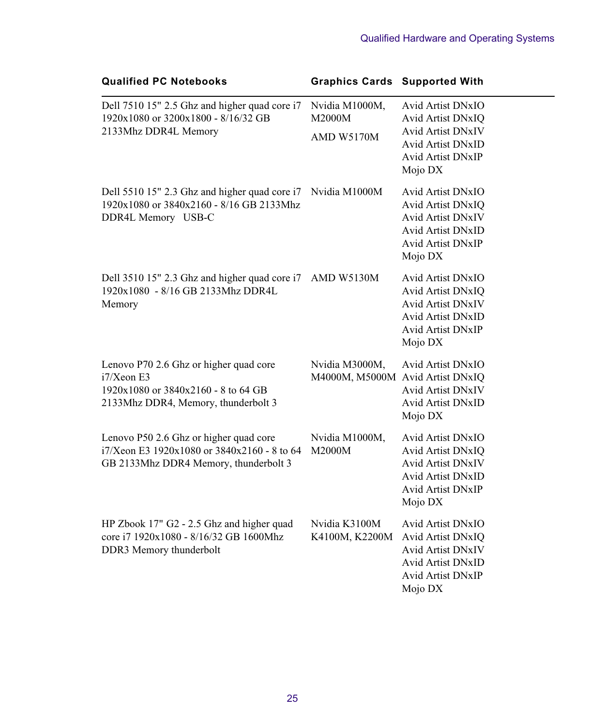| <b>Qualified PC Notebooks</b>                                                                                                         | <b>Graphics Cards Supported With</b>               |                                                                                                                                       |
|---------------------------------------------------------------------------------------------------------------------------------------|----------------------------------------------------|---------------------------------------------------------------------------------------------------------------------------------------|
| Dell 7510 15" 2.5 Ghz and higher quad core i7<br>1920x1080 or 3200x1800 - 8/16/32 GB<br>2133Mhz DDR4L Memory                          | Nvidia M1000M,<br>M2000M<br><b>AMD W5170M</b>      | Avid Artist DNxIO<br>Avid Artist DNxIQ<br><b>Avid Artist DNxIV</b><br><b>Avid Artist DNxID</b><br>Avid Artist DNxIP<br>Mojo DX        |
| Dell 5510 15" 2.3 Ghz and higher quad core i7<br>1920x1080 or 3840x2160 - 8/16 GB 2133Mhz<br>DDR4L Memory USB-C                       | Nvidia M1000M                                      | Avid Artist DNxIO<br>Avid Artist DNxIQ<br><b>Avid Artist DNxIV</b><br><b>Avid Artist DNxID</b><br><b>Avid Artist DNxIP</b><br>Mojo DX |
| Dell 3510 15" 2.3 Ghz and higher quad core i7<br>1920x1080 - 8/16 GB 2133Mhz DDR4L<br>Memory                                          | AMD W5130M                                         | Avid Artist DNxIO<br>Avid Artist DNxIO<br><b>Avid Artist DNxIV</b><br><b>Avid Artist DNxID</b><br>Avid Artist DNxIP<br>Mojo DX        |
| Lenovo P70 2.6 Ghz or higher quad core<br>$i7/X$ eon E3<br>1920x1080 or 3840x2160 - 8 to 64 GB<br>2133Mhz DDR4, Memory, thunderbolt 3 | Nvidia M3000M,<br>M4000M, M5000M Avid Artist DNxIQ | <b>Avid Artist DNxIO</b><br><b>Avid Artist DNxIV</b><br>Avid Artist DNxID<br>Mojo DX                                                  |
| Lenovo P50 2.6 Ghz or higher quad core<br>i7/Xeon E3 1920x1080 or 3840x2160 - 8 to 64<br>GB 2133Mhz DDR4 Memory, thunderbolt 3        | Nvidia M1000M,<br>M2000M                           | Avid Artist DNxIO<br>Avid Artist DNxIQ<br><b>Avid Artist DNxIV</b><br>Avid Artist DNxID<br>Avid Artist DNxIP<br>Mojo DX               |
| HP Zbook 17" G2 - 2.5 Ghz and higher quad<br>core i7 1920x1080 - 8/16/32 GB 1600Mhz<br>DDR3 Memory thunderbolt                        | Nvidia K3100M<br>K4100M, K2200M                    | Avid Artist DNxIO<br>Avid Artist DNxIQ<br>Avid Artist DNxIV<br><b>Avid Artist DNxID</b><br>Avid Artist DNxIP<br>Mojo DX               |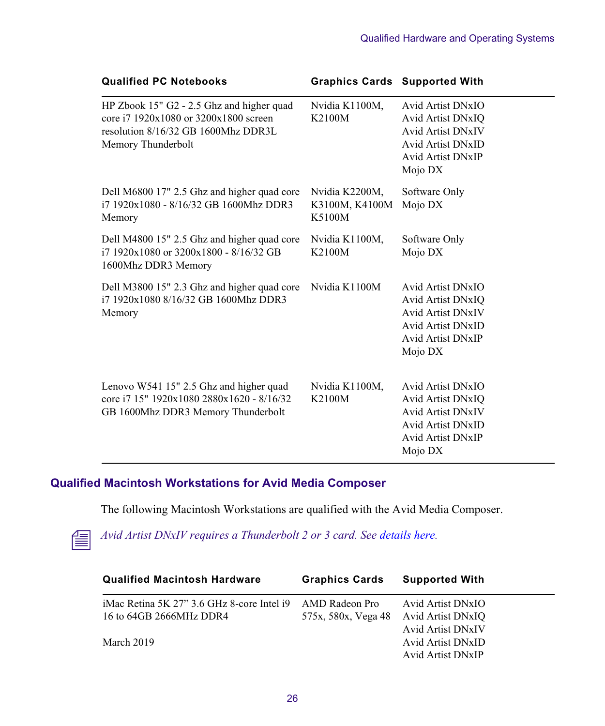| <b>Qualified PC Notebooks</b>                                                                                                                   |                                            | <b>Graphics Cards Supported With</b>                                                                                                         |
|-------------------------------------------------------------------------------------------------------------------------------------------------|--------------------------------------------|----------------------------------------------------------------------------------------------------------------------------------------------|
| HP Zbook 15" G2 - 2.5 Ghz and higher quad<br>core i7 1920x1080 or 3200x1800 screen<br>resolution 8/16/32 GB 1600Mhz DDR3L<br>Memory Thunderbolt | Nvidia K1100M,<br>K2100M                   | Avid Artist DNxIO<br>Avid Artist DNxIQ<br><b>Avid Artist DNxIV</b><br>Avid Artist DNxID<br><b>Avid Artist DNxIP</b><br>Mojo DX               |
| Dell M6800 17" 2.5 Ghz and higher quad core<br>i7 1920x1080 - 8/16/32 GB 1600Mhz DDR3<br>Memory                                                 | Nvidia K2200M,<br>K3100M, K4100M<br>K5100M | Software Only<br>Mojo DX                                                                                                                     |
| Dell M4800 15" 2.5 Ghz and higher quad core<br>$171920x1080$ or $3200x1800 - 8/16/32$ GB<br>1600Mhz DDR3 Memory                                 | Nvidia K1100M,<br>K2100M                   | Software Only<br>Mojo DX                                                                                                                     |
| Dell M3800 15" 2.3 Ghz and higher quad core<br>i7 1920x1080 8/16/32 GB 1600Mhz DDR3<br>Memory                                                   | Nvidia K1100M                              | Avid Artist DNxIO<br>Avid Artist DNxIQ<br><b>Avid Artist DNxIV</b><br><b>Avid Artist DNxID</b><br><b>Avid Artist DNxIP</b><br>Mojo DX        |
| Lenovo W541 15" 2.5 Ghz and higher quad<br>core i7 15" 1920x1080 2880x1620 - 8/16/32<br>GB 1600Mhz DDR3 Memory Thunderbolt                      | Nvidia K1100M,<br>K2100M                   | Avid Artist DNxIO<br><b>Avid Artist DNxIO</b><br><b>Avid Artist DNxIV</b><br><b>Avid Artist DNxID</b><br><b>Avid Artist DNxIP</b><br>Mojo DX |

## **Qualified Macintosh Workstations for Avid Media Composer**

The following Macintosh Workstations are qualified with the Avid Media Composer.



n *Avid Artist DNxIV requires a Thunderbolt 2 or 3 card. Se[e details here](http://avid.force.com/pkb/articles/en_US/Compatibility/DX-DNxIO-connection-chart).*

| <b>Qualified Macintosh Hardware</b>        | <b>Graphics Cards</b> | <b>Supported With</b>    |
|--------------------------------------------|-----------------------|--------------------------|
| iMac Retina 5K 27" 3.6 GHz 8-core Intel i9 | AMD Radeon Pro        | Avid Artist DNxIO        |
| 16 to 64GB 2666MHz DDR4                    | 575x, 580x, Vega 48   | Avid Artist DNxIO        |
|                                            |                       | <b>Avid Artist DNxIV</b> |
| March 2019                                 |                       | <b>Avid Artist DNxID</b> |
|                                            |                       | <b>Avid Artist DNxIP</b> |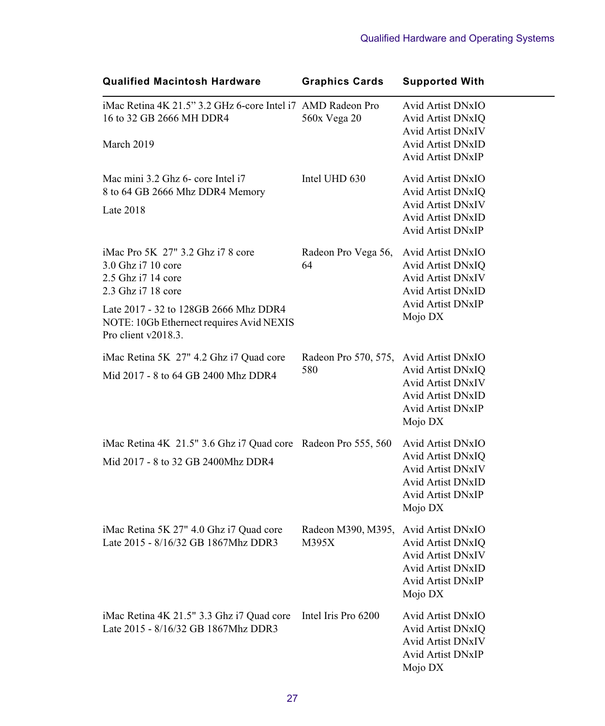| <b>Qualified Macintosh Hardware</b>                           | <b>Graphics Cards</b>                  | <b>Supported With</b>    |
|---------------------------------------------------------------|----------------------------------------|--------------------------|
| iMac Retina 4K 21.5" 3.2 GHz 6-core Intel i7 AMD Radeon Pro   |                                        | Avid Artist DNxIO        |
| 16 to 32 GB 2666 MH DDR4                                      | 560x Vega 20                           | Avid Artist DNxIQ        |
|                                                               |                                        | <b>Avid Artist DNxIV</b> |
| March 2019                                                    |                                        | <b>Avid Artist DNxID</b> |
|                                                               |                                        | <b>Avid Artist DNxIP</b> |
| Mac mini 3.2 Ghz 6- core Intel i7                             | Intel UHD 630                          | <b>Avid Artist DNxIO</b> |
| 8 to 64 GB 2666 Mhz DDR4 Memory                               |                                        | Avid Artist DNxIQ        |
| Late $2018$                                                   |                                        | <b>Avid Artist DNxIV</b> |
|                                                               |                                        | <b>Avid Artist DNxID</b> |
|                                                               |                                        | <b>Avid Artist DNxIP</b> |
| iMac Pro 5K 27" 3.2 Ghz i7 8 core                             | Radeon Pro Vega 56,                    | Avid Artist DNxIO        |
| 3.0 Ghz i7 10 core                                            | 64                                     | Avid Artist DNxIQ        |
| 2.5 Ghz i7 14 core                                            |                                        | <b>Avid Artist DNxIV</b> |
| 2.3 Ghz i7 18 core                                            |                                        | <b>Avid Artist DNxID</b> |
| Late 2017 - 32 to 128GB 2666 Mhz DDR4                         |                                        | <b>Avid Artist DNxIP</b> |
| NOTE: 10Gb Ethernect requires Avid NEXIS                      |                                        | Mojo DX                  |
| Pro client v2018.3.                                           |                                        |                          |
| iMac Retina 5K 27" 4.2 Ghz i7 Quad core                       | Radeon Pro 570, 575, Avid Artist DNxIO |                          |
| Mid 2017 - 8 to 64 GB 2400 Mhz DDR4                           | 580                                    | Avid Artist DNxIQ        |
|                                                               |                                        | <b>Avid Artist DNxIV</b> |
|                                                               |                                        | <b>Avid Artist DNxID</b> |
|                                                               |                                        | <b>Avid Artist DNxIP</b> |
|                                                               |                                        | Mojo DX                  |
| iMac Retina 4K 21.5" 3.6 Ghz i7 Quad core Radeon Pro 555, 560 |                                        | <b>Avid Artist DNxIO</b> |
| Mid 2017 - 8 to 32 GB 2400Mhz DDR4                            |                                        | Avid Artist DNxIQ        |
|                                                               |                                        | Avid Artist DNxIV        |
|                                                               |                                        | <b>Avid Artist DNxID</b> |
|                                                               |                                        | <b>Avid Artist DNxIP</b> |
|                                                               |                                        | Mojo DX                  |
| iMac Retina 5K 27" 4.0 Ghz i7 Quad core                       | Radeon M390, M395, Avid Artist DNxIO   |                          |
| Late 2015 - 8/16/32 GB 1867Mhz DDR3                           | M395X                                  | Avid Artist DNxIQ        |
|                                                               |                                        | <b>Avid Artist DNxIV</b> |
|                                                               |                                        | <b>Avid Artist DNxID</b> |
|                                                               |                                        | Avid Artist DNxIP        |
|                                                               |                                        | Mojo DX                  |
| iMac Retina 4K 21.5" 3.3 Ghz i7 Quad core                     | Intel Iris Pro 6200                    | Avid Artist DNxIO        |
| Late 2015 - 8/16/32 GB 1867Mhz DDR3                           |                                        | <b>Avid Artist DNxIQ</b> |
|                                                               |                                        | <b>Avid Artist DNxIV</b> |
|                                                               |                                        | <b>Avid Artist DNxIP</b> |
|                                                               |                                        | Mojo DX                  |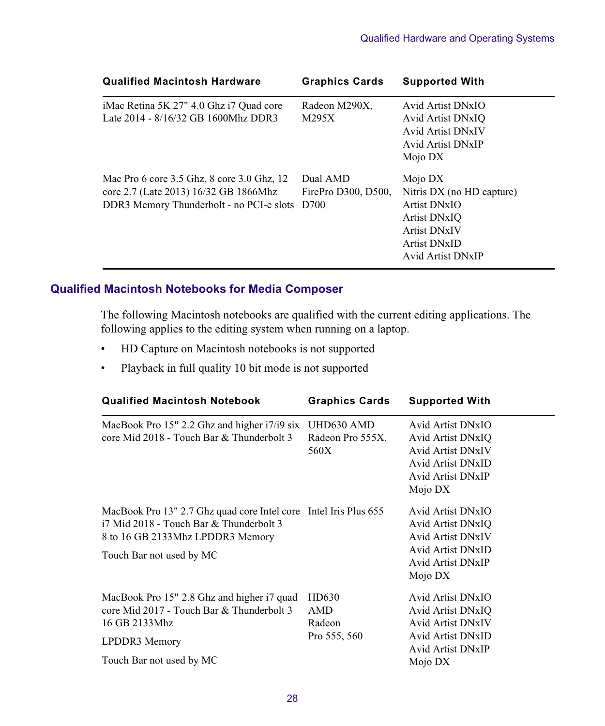| <b>Qualified Macintosh Hardware</b>                                                                                                  | <b>Graphics Cards</b>           | <b>Supported With</b>                                                                                                            |
|--------------------------------------------------------------------------------------------------------------------------------------|---------------------------------|----------------------------------------------------------------------------------------------------------------------------------|
| iMac Retina 5K 27" 4.0 Ghz i7 Quad core<br>Late 2014 - 8/16/32 GB 1600Mhz DDR3                                                       | Radeon M290X,<br>M295X          | Avid Artist DNxIO<br>Avid Artist DNxIO<br><b>Avid Artist DNxIV</b><br>Avid Artist DNxIP<br>Mojo DX                               |
| Mac Pro 6 core 3.5 Ghz, 8 core 3.0 Ghz, 12<br>core 2.7 (Late 2013) 16/32 GB 1866Mhz<br>DDR3 Memory Thunderbolt - no PCI-e slots D700 | Dual AMD<br>FirePro D300, D500. | Mojo DX<br>Nitris DX (no HD capture)<br>Artist DNxIO<br>Artist DNxIO<br><b>Artist DNxIV</b><br>Artist DNxID<br>Avid Artist DNxIP |

## **Qualified Macintosh Notebooks for Media Composer**

The following Macintosh notebooks are qualified with the current editing applications. The following applies to the editing system when running on a laptop.

- HD Capture on Macintosh notebooks is not supported
- Playback in full quality 10 bit mode is not supported

| <b>Qualified Macintosh Notebook</b>                                                                                                                                         | <b>Graphics Cards</b>                         | <b>Supported With</b>                                                                                                                 |
|-----------------------------------------------------------------------------------------------------------------------------------------------------------------------------|-----------------------------------------------|---------------------------------------------------------------------------------------------------------------------------------------|
| MacBook Pro 15" 2.2 Ghz and higher i7/i9 six<br>core Mid 2018 - Touch Bar & Thunderbolt 3                                                                                   | UHD630 AMD<br>Radeon Pro 555X,<br>560X        | <b>Avid Artist DNxIO</b><br>Avid Artist DNxIQ<br><b>Avid Artist DNxIV</b><br>Avid Artist DNxID<br>Avid Artist DNxIP<br>Mojo DX        |
| MacBook Pro 13" 2.7 Ghz quad core Intel core Intel Iris Plus 655<br>i7 Mid 2018 - Touch Bar & Thunderbolt 3<br>8 to 16 GB 2133Mhz LPDDR3 Memory<br>Touch Bar not used by MC |                                               | <b>Avid Artist DNxIO</b><br><b>Avid Artist DNxIO</b><br>Avid Artist DNxIV<br><b>Avid Artist DNxID</b><br>Avid Artist DNxIP<br>Mojo DX |
| MacBook Pro 15" 2.8 Ghz and higher i7 quad<br>core Mid 2017 - Touch Bar & Thunderbolt 3<br>16 GB 2133Mhz<br>LPDDR3 Memory<br>Touch Bar not used by MC                       | HD630<br><b>AMD</b><br>Radeon<br>Pro 555, 560 | Avid Artist DNxIO<br>Avid Artist DNxIQ<br><b>Avid Artist DNxIV</b><br><b>Avid Artist DNxID</b><br>Avid Artist DNxIP<br>Mojo DX        |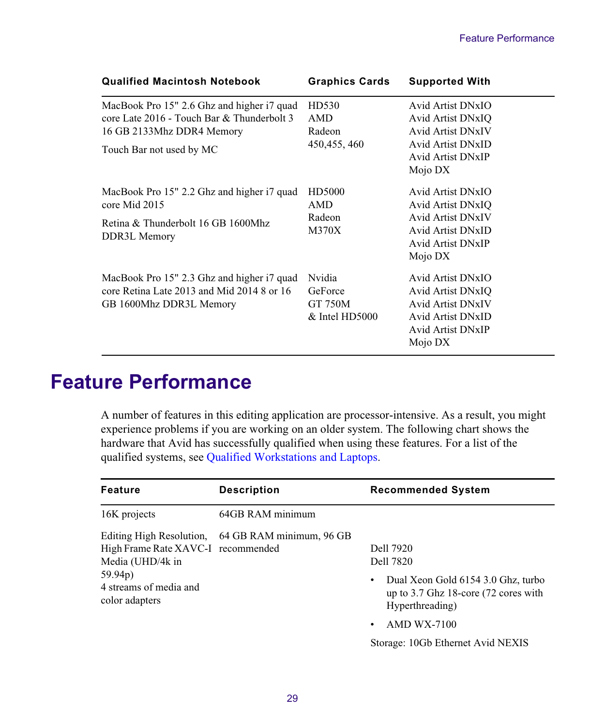| <b>Qualified Macintosh Notebook</b>                                                                                                               | <b>Graphics Cards</b>                            | <b>Supported With</b>                                                                                                                        |
|---------------------------------------------------------------------------------------------------------------------------------------------------|--------------------------------------------------|----------------------------------------------------------------------------------------------------------------------------------------------|
| MacBook Pro 15" 2.6 Ghz and higher i7 quad<br>core Late 2016 - Touch Bar & Thunderbolt 3<br>16 GB 2133Mhz DDR4 Memory<br>Touch Bar not used by MC | HD530<br>AMD<br>Radeon<br>450, 455, 460          | <b>Avid Artist DNxIO</b><br>Avid Artist DNxIQ<br><b>Avid Artist DNxIV</b><br><b>Avid Artist DNxID</b><br><b>Avid Artist DNxIP</b><br>Mojo DX |
| MacBook Pro 15" 2.2 Ghz and higher i7 quad<br>core Mid 2015<br>Retina & Thunderbolt 16 GB 1600Mhz<br>DDR3L Memory                                 | HD5000<br>AMD<br>Radeon<br>M370X                 | <b>Avid Artist DNxIO</b><br><b>Avid Artist DNxIO</b><br><b>Avid Artist DNxIV</b><br>Avid Artist DNxID<br><b>Avid Artist DNxIP</b><br>Mojo DX |
| MacBook Pro 15" 2.3 Ghz and higher i7 quad<br>core Retina Late 2013 and Mid 2014 8 or 16<br>GB 1600Mhz DDR3L Memory                               | Nvidia<br>GeForce<br>GT 750M<br>$&$ Intel HD5000 | Avid Artist DNxIO<br><b>Avid Artist DNxIO</b><br><b>Avid Artist DNxIV</b><br>Avid Artist DNxID<br><b>Avid Artist DNxIP</b><br>Mojo DX        |

## <span id="page-28-0"></span>**Feature Performance**

A number of features in this editing application are processor-intensive. As a result, you might experience problems if you are working on an older system. The following chart shows the hardware that Avid has successfully qualified when using these features. For a list of the qualified systems, see [Qualified Workstations and Laptops.](#page-12-0)

| <b>Feature</b>                                                 | <b>Description</b>                                | <b>Recommended System</b>                                                                                |
|----------------------------------------------------------------|---------------------------------------------------|----------------------------------------------------------------------------------------------------------|
| 16K projects                                                   | 64GB RAM minimum                                  |                                                                                                          |
| High Frame Rate XAVC-I recommended<br>Media (UHD/4k in         | Editing High Resolution, 64 GB RAM minimum, 96 GB | Dell 7920<br>Dell 7820                                                                                   |
| 59.94 <sub>p</sub><br>4 streams of media and<br>color adapters |                                                   | Dual Xeon Gold 6154 3.0 Ghz, turbo<br>up to 3.7 Ghz 18-core $(72 \text{ cores with})$<br>Hyperthreading) |
|                                                                |                                                   | $AMD$ WX-7100                                                                                            |
|                                                                |                                                   | Storage: 10Gb Ethernet Avid NEXIS                                                                        |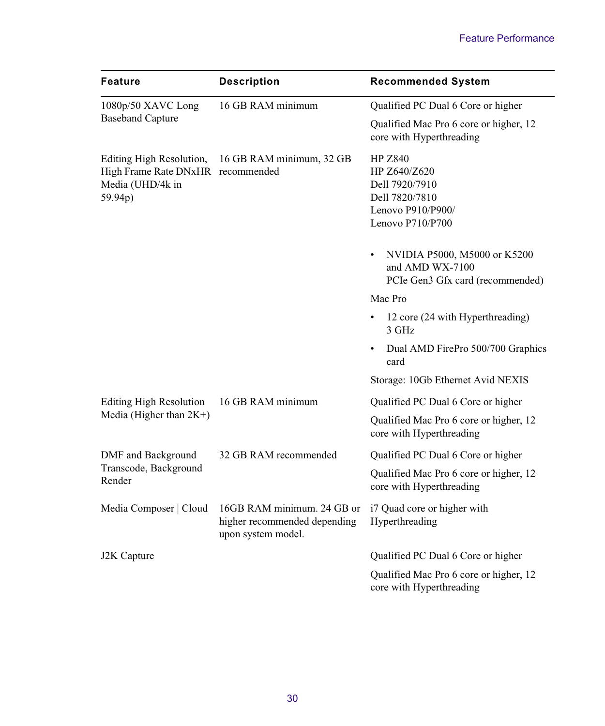| Feature                                                                                      | <b>Description</b>                                                               | <b>Recommended System</b>                                                                                   |  |
|----------------------------------------------------------------------------------------------|----------------------------------------------------------------------------------|-------------------------------------------------------------------------------------------------------------|--|
| 1080p/50 XAVC Long                                                                           | 16 GB RAM minimum                                                                | Qualified PC Dual 6 Core or higher                                                                          |  |
| <b>Baseband Capture</b>                                                                      |                                                                                  | Qualified Mac Pro 6 core or higher, 12<br>core with Hyperthreading                                          |  |
| Editing High Resolution,<br>High Frame Rate DNxHR recommended<br>Media (UHD/4k in<br>59.94p) | 16 GB RAM minimum, 32 GB                                                         | <b>HP Z840</b><br>HP Z640/Z620<br>Dell 7920/7910<br>Dell 7820/7810<br>Lenovo P910/P900/<br>Lenovo P710/P700 |  |
|                                                                                              |                                                                                  | NVIDIA P5000, M5000 or K5200<br>and AMD WX-7100<br>PCIe Gen3 Gfx card (recommended)                         |  |
|                                                                                              |                                                                                  | Mac Pro                                                                                                     |  |
|                                                                                              |                                                                                  | 12 core (24 with Hyperthreading)<br>٠<br>3 GHz                                                              |  |
|                                                                                              |                                                                                  | Dual AMD FirePro 500/700 Graphics<br>٠<br>card                                                              |  |
|                                                                                              |                                                                                  | Storage: 10Gb Ethernet Avid NEXIS                                                                           |  |
| <b>Editing High Resolution</b>                                                               | 16 GB RAM minimum                                                                | Qualified PC Dual 6 Core or higher                                                                          |  |
| Media (Higher than $2K+$ )                                                                   |                                                                                  | Qualified Mac Pro 6 core or higher, 12<br>core with Hyperthreading                                          |  |
| DMF and Background                                                                           | 32 GB RAM recommended                                                            | Qualified PC Dual 6 Core or higher                                                                          |  |
| Transcode, Background<br>Render                                                              |                                                                                  | Qualified Mac Pro 6 core or higher, 12<br>core with Hyperthreading                                          |  |
| Media Composer   Cloud                                                                       | 16GB RAM minimum. 24 GB or<br>higher recommended depending<br>upon system model. | i7 Quad core or higher with<br>Hyperthreading                                                               |  |
| J2K Capture                                                                                  |                                                                                  | Qualified PC Dual 6 Core or higher                                                                          |  |
|                                                                                              |                                                                                  | Qualified Mac Pro 6 core or higher, 12<br>core with Hyperthreading                                          |  |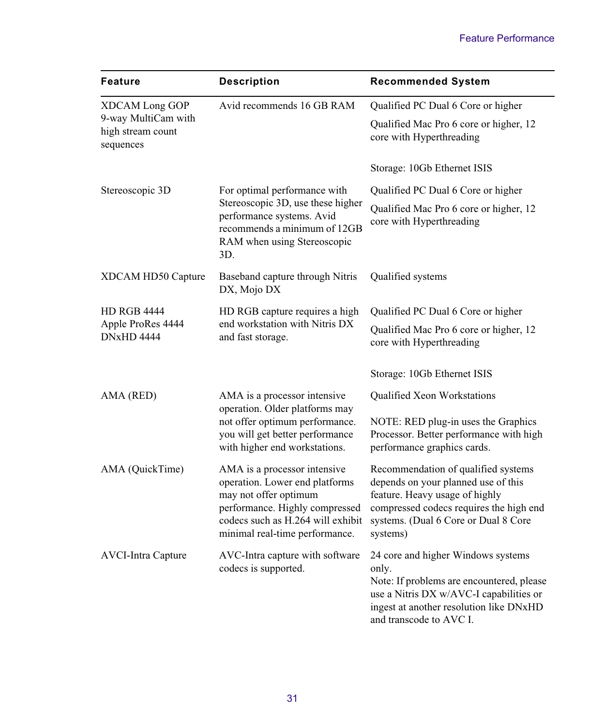| <b>Feature</b>                                             | <b>Description</b>                                                                                                                                                                               | <b>Recommended System</b>                                                                                                                                                                                   |  |
|------------------------------------------------------------|--------------------------------------------------------------------------------------------------------------------------------------------------------------------------------------------------|-------------------------------------------------------------------------------------------------------------------------------------------------------------------------------------------------------------|--|
| XDCAM Long GOP<br>9-way MultiCam with<br>high stream count | Avid recommends 16 GB RAM                                                                                                                                                                        | Qualified PC Dual 6 Core or higher<br>Qualified Mac Pro 6 core or higher, 12                                                                                                                                |  |
| sequences                                                  |                                                                                                                                                                                                  | core with Hyperthreading<br>Storage: 10Gb Ethernet ISIS                                                                                                                                                     |  |
| Stereoscopic 3D                                            | For optimal performance with                                                                                                                                                                     | Qualified PC Dual 6 Core or higher                                                                                                                                                                          |  |
|                                                            | Stereoscopic 3D, use these higher<br>performance systems. Avid<br>recommends a minimum of 12GB<br>RAM when using Stereoscopic<br>3D.                                                             | Qualified Mac Pro 6 core or higher, 12<br>core with Hyperthreading                                                                                                                                          |  |
| XDCAM HD50 Capture                                         | Baseband capture through Nitris<br>DX, Mojo DX                                                                                                                                                   | Qualified systems                                                                                                                                                                                           |  |
| <b>HD RGB 4444</b>                                         | HD RGB capture requires a high                                                                                                                                                                   | Qualified PC Dual 6 Core or higher                                                                                                                                                                          |  |
| Apple ProRes 4444<br><b>DNxHD 4444</b>                     | end workstation with Nitris DX<br>and fast storage.                                                                                                                                              | Qualified Mac Pro 6 core or higher, 12<br>core with Hyperthreading                                                                                                                                          |  |
|                                                            |                                                                                                                                                                                                  | Storage: 10Gb Ethernet ISIS                                                                                                                                                                                 |  |
| AMA (RED)                                                  | AMA is a processor intensive<br>operation. Older platforms may                                                                                                                                   | <b>Qualified Xeon Workstations</b>                                                                                                                                                                          |  |
|                                                            | not offer optimum performance.<br>you will get better performance<br>with higher end workstations.                                                                                               | NOTE: RED plug-in uses the Graphics<br>Processor. Better performance with high<br>performance graphics cards.                                                                                               |  |
| AMA (QuickTime)                                            | AMA is a processor intensive<br>operation. Lower end platforms<br>may not offer optimum<br>performance. Highly compressed<br>codecs such as H.264 will exhibit<br>minimal real-time performance. | Recommendation of qualified systems<br>depends on your planned use of this<br>feature. Heavy usage of highly<br>compressed codecs requires the high end<br>systems. (Dual 6 Core or Dual 8 Core<br>systems) |  |
| <b>AVCI-Intra Capture</b>                                  | AVC-Intra capture with software<br>codecs is supported.                                                                                                                                          | 24 core and higher Windows systems<br>only.<br>Note: If problems are encountered, please<br>use a Nitris DX w/AVC-I capabilities or<br>ingest at another resolution like DNxHD<br>and transcode to AVC I.   |  |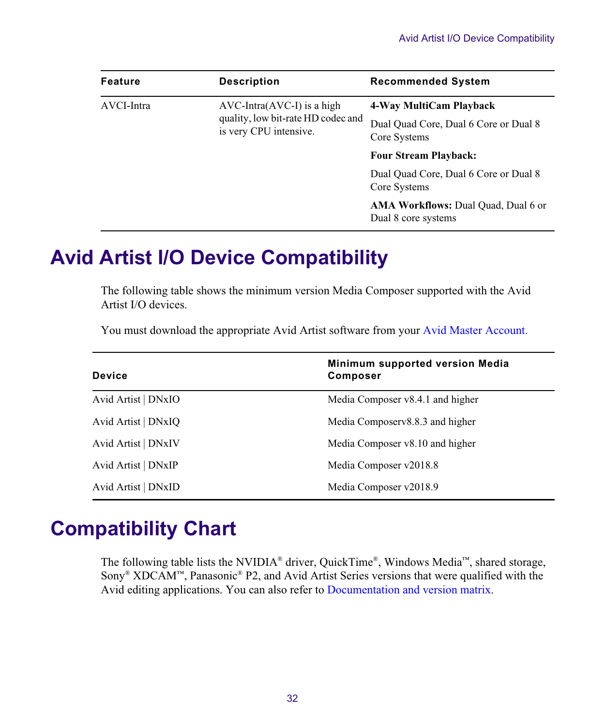| Feature    | <b>Description</b>                                                                           | <b>Recommended System</b>                                         |
|------------|----------------------------------------------------------------------------------------------|-------------------------------------------------------------------|
| AVCI-Intra | $AVC-Intra(AVC-I)$ is a high<br>quality, low bit-rate HD codec and<br>is very CPU intensive. | 4-Way MultiCam Playback                                           |
|            |                                                                                              | Dual Ouad Core, Dual 6 Core or Dual 8<br>Core Systems             |
|            |                                                                                              | <b>Four Stream Playback:</b>                                      |
|            |                                                                                              | Dual Quad Core, Dual 6 Core or Dual 8<br>Core Systems             |
|            |                                                                                              | <b>AMA Workflows: Dual Quad, Dual 6 or</b><br>Dual 8 core systems |

## **Avid Artist I/O Device Compatibility**

The following table shows the minimum version Media Composer supported with the Avid Artist I/O devices.

You must download the appropriate Avid Artist software from your [Avid Master Account.](https://my.avid.com/account/orientation)

| <b>Device</b>       | Minimum supported version Media<br><b>Composer</b> |
|---------------------|----------------------------------------------------|
| Avid Artist   DNxIO | Media Composer v8.4.1 and higher                   |
| Avid Artist   DNxIO | Media Composerv8.8.3 and higher                    |
| Avid Artist   DNxIV | Media Composer v8.10 and higher                    |
| Avid Artist   DNxIP | Media Composer v2018.8                             |
| Avid Artist   DNxID | Media Composer v2018.9                             |

## <span id="page-31-0"></span>**Compatibility Chart**

The following table lists the NVIDIA® driver, QuickTime®, Windows Media™, shared storage, Sony® XDCAM™, Panasonic® P2, and Avid Artist Series versions that were qualified with the Avid editing applications. You can also refer to [Documentation and version matrix](http://avid.force.com/pkb/articles/en_US/compatibility/en267087).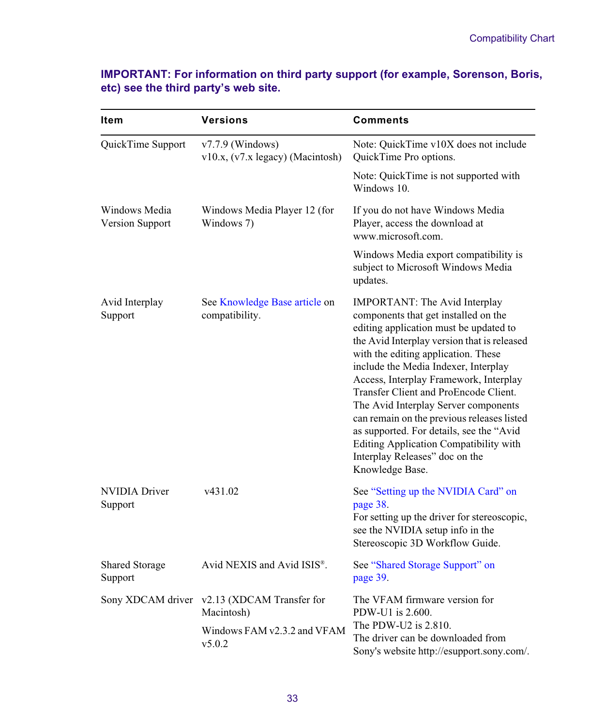## **IMPORTANT: For information on third party support (for example, Sorenson, Boris, etc) see the third party's web site.**

| Item                             | <b>Versions</b>                                        | Comments                                                                                                                                                                                                                                                                                                                                                                                                                                                                                                                                                          |  |  |
|----------------------------------|--------------------------------------------------------|-------------------------------------------------------------------------------------------------------------------------------------------------------------------------------------------------------------------------------------------------------------------------------------------------------------------------------------------------------------------------------------------------------------------------------------------------------------------------------------------------------------------------------------------------------------------|--|--|
| QuickTime Support                | $v7.7.9$ (Windows)<br>v10.x, (v7.x legacy) (Macintosh) | Note: QuickTime v10X does not include<br>QuickTime Pro options.                                                                                                                                                                                                                                                                                                                                                                                                                                                                                                   |  |  |
|                                  |                                                        | Note: QuickTime is not supported with<br>Windows 10.                                                                                                                                                                                                                                                                                                                                                                                                                                                                                                              |  |  |
| Windows Media<br>Version Support | Windows Media Player 12 (for<br>Windows 7)             | If you do not have Windows Media<br>Player, access the download at<br>www.microsoft.com.                                                                                                                                                                                                                                                                                                                                                                                                                                                                          |  |  |
|                                  |                                                        | Windows Media export compatibility is<br>subject to Microsoft Windows Media<br>updates.                                                                                                                                                                                                                                                                                                                                                                                                                                                                           |  |  |
| Avid Interplay<br>Support        | See Knowledge Base article on<br>compatibility.        | IMPORTANT: The Avid Interplay<br>components that get installed on the<br>editing application must be updated to<br>the Avid Interplay version that is released<br>with the editing application. These<br>include the Media Indexer, Interplay<br>Access, Interplay Framework, Interplay<br>Transfer Client and ProEncode Client.<br>The Avid Interplay Server components<br>can remain on the previous releases listed<br>as supported. For details, see the "Avid<br>Editing Application Compatibility with<br>Interplay Releases" doc on the<br>Knowledge Base. |  |  |
| NVIDIA Driver<br>Support         | v431.02                                                | See "Setting up the NVIDIA Card" on<br>page 38.<br>For setting up the driver for stereoscopic,<br>see the NVIDIA setup info in the<br>Stereoscopic 3D Workflow Guide.                                                                                                                                                                                                                                                                                                                                                                                             |  |  |
| <b>Shared Storage</b><br>Support | Avid NEXIS and Avid ISIS <sup>®</sup> .                | See "Shared Storage Support" on<br>page 39.                                                                                                                                                                                                                                                                                                                                                                                                                                                                                                                       |  |  |
| Sony XDCAM driver                | v2.13 (XDCAM Transfer for<br>Macintosh)                | The VFAM firmware version for<br>PDW-U1 is 2.600.<br>The PDW-U2 is 2.810.                                                                                                                                                                                                                                                                                                                                                                                                                                                                                         |  |  |
|                                  | Windows FAM v2.3.2 and VFAM<br>v5.0.2                  | The driver can be downloaded from<br>Sony's website http://esupport.sony.com/.                                                                                                                                                                                                                                                                                                                                                                                                                                                                                    |  |  |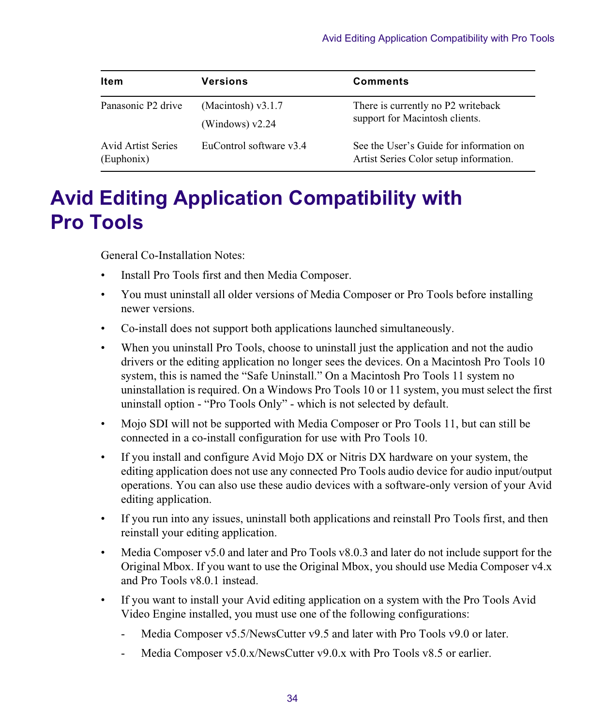| ltem                                    | <b>Versions</b>                           | <b>Comments</b>                                                                   |
|-----------------------------------------|-------------------------------------------|-----------------------------------------------------------------------------------|
| Panasonic P2 drive                      | (Macintosh) $v3.1.7$<br>(Windows) $v2.24$ | There is currently no P2 writeback<br>support for Macintosh clients.              |
| <b>Avid Artist Series</b><br>(Euphonix) | EuControl software v3.4                   | See the User's Guide for information on<br>Artist Series Color setup information. |

## **Avid Editing Application Compatibility with Pro Tools**

General Co-Installation Notes:

- Install Pro Tools first and then Media Composer.
- You must uninstall all older versions of Media Composer or Pro Tools before installing newer versions.
- Co-install does not support both applications launched simultaneously.
- When you uninstall Pro Tools, choose to uninstall just the application and not the audio drivers or the editing application no longer sees the devices. On a Macintosh Pro Tools 10 system, this is named the "Safe Uninstall." On a Macintosh Pro Tools 11 system no uninstallation is required. On a Windows Pro Tools 10 or 11 system, you must select the first uninstall option - "Pro Tools Only" - which is not selected by default.
- Mojo SDI will not be supported with Media Composer or Pro Tools 11, but can still be connected in a co-install configuration for use with Pro Tools 10.
- If you install and configure Avid Mojo DX or Nitris DX hardware on your system, the editing application does not use any connected Pro Tools audio device for audio input/output operations. You can also use these audio devices with a software-only version of your Avid editing application.
- If you run into any issues, uninstall both applications and reinstall Pro Tools first, and then reinstall your editing application.
- Media Composer v5.0 and later and Pro Tools v8.0.3 and later do not include support for the Original Mbox. If you want to use the Original Mbox, you should use Media Composer v4.x and Pro Tools v8.0.1 instead.
- If you want to install your Avid editing application on a system with the Pro Tools Avid Video Engine installed, you must use one of the following configurations:
	- Media Composer v5.5/NewsCutter v9.5 and later with Pro Tools v9.0 or later.
	- Media Composer v5.0.x/NewsCutter v9.0.x with Pro Tools v8.5 or earlier.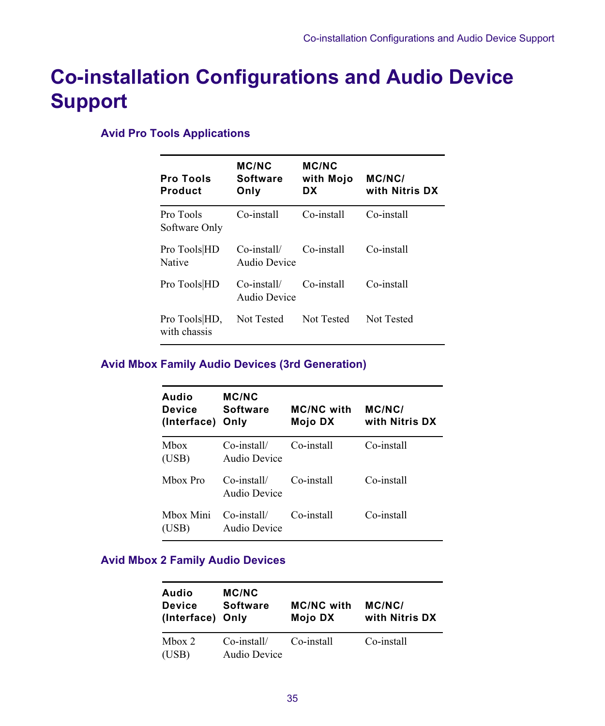## **Co-installation Configurations and Audio Device Support**

## **Avid Pro Tools Applications**

| <b>Pro Tools</b><br>Product   | <b>MC/NC</b><br><b>Software</b><br>Only | <b>MC/NC</b><br>with Mojo<br>DX | MC/NC/<br>with Nitris DX |
|-------------------------------|-----------------------------------------|---------------------------------|--------------------------|
| Pro Tools<br>Software Only    | Co-install                              | Co-install                      | Co-install               |
| Pro Tools HD<br><b>Native</b> | $Co$ -install/<br>Audio Device          | Co-install                      | Co-install               |
| Pro Tools HD                  | $Co$ -install/<br>Audio Device          | Co-install                      | Co-install               |
| Pro Tools HD,<br>with chassis | Not Tested                              | Not Tested                      | Not Tested               |

## **Avid Mbox Family Audio Devices (3rd Generation)**

| Audio<br>Device<br>(Interface) | <b>MC/NC</b><br><b>Software</b><br>Only | <b>MC/NC with</b><br>Mojo DX | MC/NC/<br>with Nitris DX |
|--------------------------------|-----------------------------------------|------------------------------|--------------------------|
| Mhox<br>(USB)                  | $Co$ -install/<br>Audio Device          | Co-install                   | Co-install               |
| Mhox Pro                       | $Co$ -install/<br>Audio Device          | Co-install                   | Co-install               |
| Mbox Mini<br>(USB)             | Co-install/<br>Audio Device             | Co-install                   | Co-install               |

### **Avid Mbox 2 Family Audio Devices**

| Audio<br><b>Device</b><br>(Interface) Only | <b>MC/NC</b><br><b>Software</b> | <b>MC/NC with</b><br>Mojo DX | MC/NC/<br>with Nitris DX |
|--------------------------------------------|---------------------------------|------------------------------|--------------------------|
| Mbox $2$<br>(USB)                          | Co-install/<br>Audio Device     | Co-install                   | Co-install               |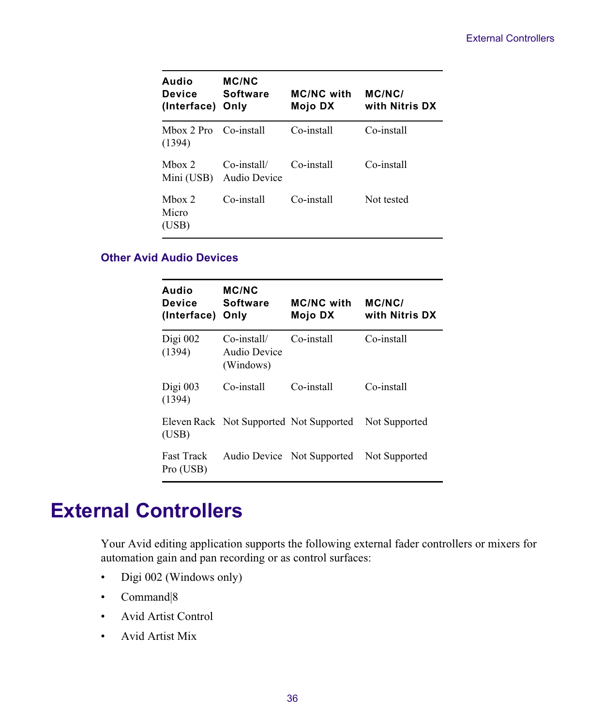| Audio<br><b>Device</b><br>(Interface) | <b>MC/NC</b><br><b>Software</b><br>Only | <b>MC/NC with</b><br>Mojo DX | MC/NC/<br>with Nitris DX |
|---------------------------------------|-----------------------------------------|------------------------------|--------------------------|
| Mbox 2 Pro Co-install<br>(1394)       |                                         | Co-install                   | Co-install               |
| Mhox $2$<br>Mini (USB)                | $Co$ -install/<br>Audio Device          | Co-install                   | Co-install               |
| Mbox $2$<br>Micro<br>(USB)            | Co-install                              | Co-install                   | Not tested               |

### **Other Avid Audio Devices**

| Audio<br>Device<br>(Interface) | <b>MC/NC</b><br><b>Software</b><br>Only  | <b>MC/NC with</b><br>Mojo DX | MC/NC/<br>with Nitris DX |
|--------------------------------|------------------------------------------|------------------------------|--------------------------|
| Digi $002$<br>(1394)           | Co-install/<br>Audio Device<br>(Windows) | Co-install                   | Co-install               |
| Digi $003$<br>(1394)           | Co-install                               | Co-install                   | Co-install               |
| (USB)                          | Eleven Rack Not Supported Not Supported  |                              | Not Supported            |
| <b>Fast Track</b><br>Pro (USB) |                                          | Audio Device Not Supported   | Not Supported            |

## **External Controllers**

Your Avid editing application supports the following external fader controllers or mixers for automation gain and pan recording or as control surfaces:

- Digi 002 (Windows only)
- Command|8
- Avid Artist Control
- Avid Artist Mix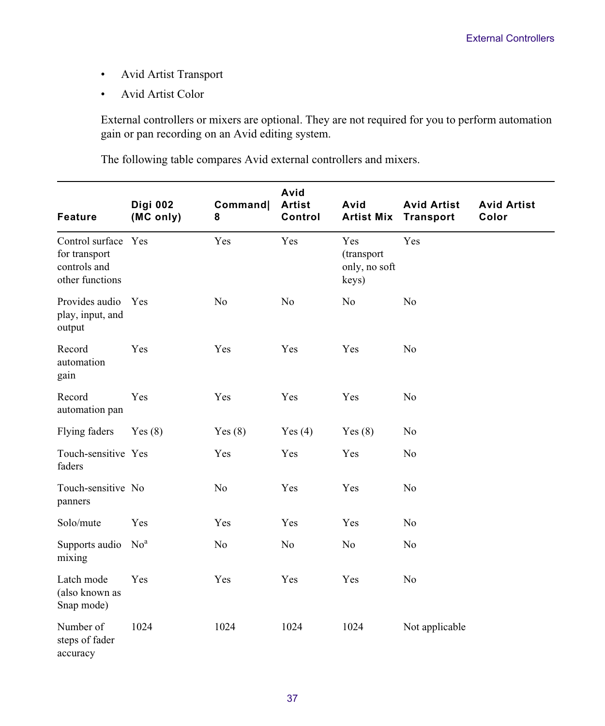- Avid Artist Transport
- Avid Artist Color

External controllers or mixers are optional. They are not required for you to perform automation gain or pan recording on an Avid editing system.

The following table compares Avid external controllers and mixers.

| <b>Feature</b>                                                          | Digi 002<br>(MC only) | Command <br>8  | Avid<br><b>Artist</b><br>Control | Avid<br><b>Artist Mix</b>                   | <b>Avid Artist</b><br><b>Transport</b> | <b>Avid Artist</b><br>Color |
|-------------------------------------------------------------------------|-----------------------|----------------|----------------------------------|---------------------------------------------|----------------------------------------|-----------------------------|
| Control surface Yes<br>for transport<br>controls and<br>other functions |                       | Yes            | Yes                              | Yes<br>(transport<br>only, no soft<br>keys) | Yes                                    |                             |
| Provides audio<br>play, input, and<br>output                            | Yes                   | N <sub>0</sub> | N <sub>0</sub>                   | N <sub>0</sub>                              | N <sub>0</sub>                         |                             |
| Record<br>automation<br>gain                                            | Yes                   | Yes            | Yes                              | Yes                                         | N <sub>0</sub>                         |                             |
| Record<br>automation pan                                                | Yes                   | Yes            | Yes                              | Yes                                         | N <sub>0</sub>                         |                             |
| Flying faders                                                           | Yes(8)                | Yes $(8)$      | Yes $(4)$                        | Yes $(8)$                                   | No                                     |                             |
| Touch-sensitive Yes<br>faders                                           |                       | Yes            | Yes                              | Yes                                         | No                                     |                             |
| Touch-sensitive No<br>panners                                           |                       | N <sub>o</sub> | Yes                              | Yes                                         | No                                     |                             |
| Solo/mute                                                               | Yes                   | Yes            | Yes                              | Yes                                         | N <sub>0</sub>                         |                             |
| Supports audio<br>mixing                                                | No <sup>a</sup>       | No             | N <sub>0</sub>                   | No                                          | No                                     |                             |
| Latch mode<br>(also known as<br>Snap mode)                              | Yes                   | Yes            | Yes                              | Yes                                         | N <sub>0</sub>                         |                             |
| Number of<br>steps of fader<br>accuracy                                 | 1024                  | 1024           | 1024                             | 1024                                        | Not applicable                         |                             |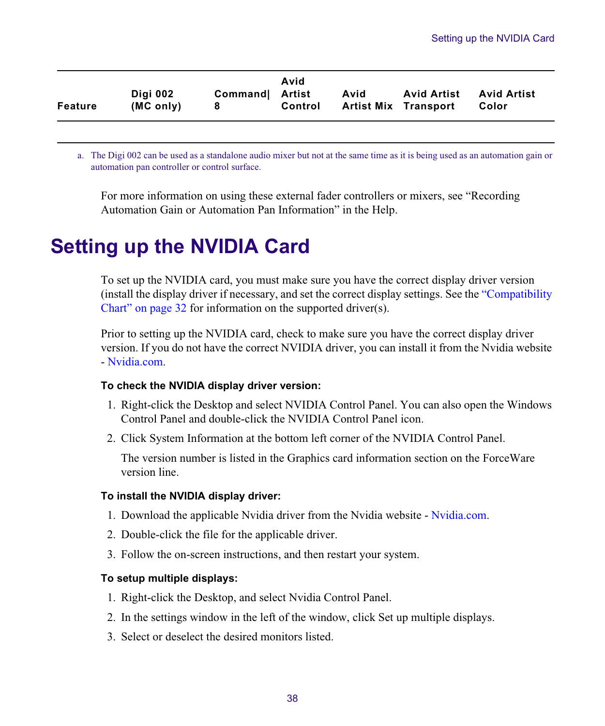| Feature | Diai 002<br>(MC only) | Command Artist<br>8 | Avid<br>Control | Avid<br><b>Artist Mix Transport</b> | <b>Avid Artist</b> Avid Artist | Color |
|---------|-----------------------|---------------------|-----------------|-------------------------------------|--------------------------------|-------|
|         |                       |                     |                 |                                     |                                |       |

a. The Digi 002 can be used as a standalone audio mixer but not at the same time as it is being used as an automation gain or automation pan controller or control surface.

For more information on using these external fader controllers or mixers, see "Recording Automation Gain or Automation Pan Information" in the Help.

## <span id="page-37-0"></span>**Setting up the NVIDIA Card**

To set up the NVIDIA card, you must make sure you have the correct display driver version (install the display driver if necessary, and set the correct display settings. See the ["Compatibility](#page-31-0)  [Chart" on page 32](#page-31-0) for information on the supported driver(s).

Prior to setting up the NVIDIA card, check to make sure you have the correct display driver version. If you do not have the correct NVIDIA driver, you can install it from the Nvidia website [- Nvidia.com](https://www.nvidia.com/Download/index.aspx?lang=en-us).

### **To check the NVIDIA display driver version:**

- 1. Right-click the Desktop and select NVIDIA Control Panel. You can also open the Windows Control Panel and double-click the NVIDIA Control Panel icon.
- 2. Click System Information at the bottom left corner of the NVIDIA Control Panel.

The version number is listed in the Graphics card information section on the ForceWare version line.

### **To install the NVIDIA display driver:**

- 1. Download the applicable Nvidia driver from the Nvidia website  [Nvidia.com](https://www.nvidia.com/Download/index.aspx?lang=en-us).
- 2. Double-click the file for the applicable driver.
- 3. Follow the on-screen instructions, and then restart your system.

### **To setup multiple displays:**

- 1. Right-click the Desktop, and select Nvidia Control Panel.
- 2. In the settings window in the left of the window, click Set up multiple displays.
- 3. Select or deselect the desired monitors listed.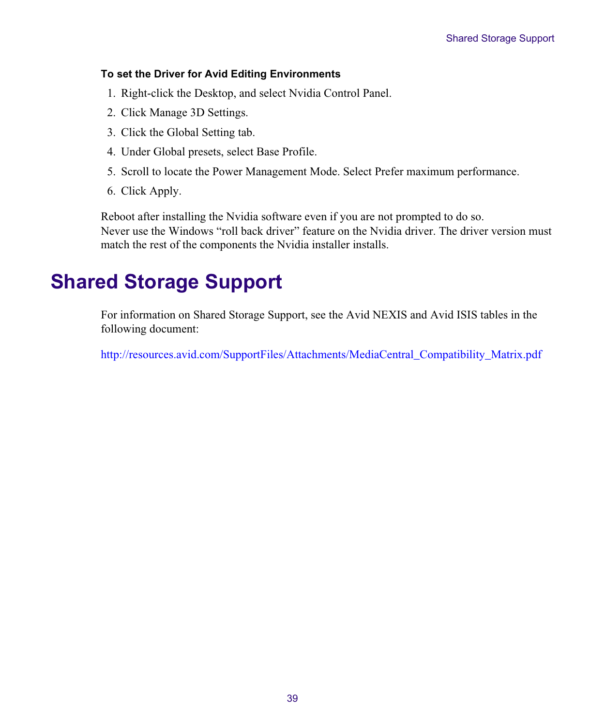### **To set the Driver for Avid Editing Environments**

- 1. Right-click the Desktop, and select Nvidia Control Panel.
- 2. Click Manage 3D Settings.
- 3. Click the Global Setting tab.
- 4. Under Global presets, select Base Profile.
- 5. Scroll to locate the Power Management Mode. Select Prefer maximum performance.
- 6. Click Apply.

Reboot after installing the Nvidia software even if you are not prompted to do so. Never use the Windows "roll back driver" feature on the Nvidia driver. The driver version must match the rest of the components the Nvidia installer installs.

## <span id="page-38-0"></span>**Shared Storage Support**

For information on Shared Storage Support, see the Avid NEXIS and Avid ISIS tables in the following document:

[http://resources.avid.com/SupportFiles/Attachments/MediaCentral\\_Compatibility\\_Matrix.pdf](http://resources.avid.com/SupportFiles/Attachments/MediaCentral_Compatibility_Matrix.pdf)